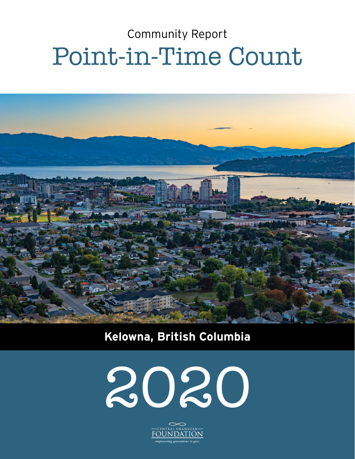# Community Report Point-in-Time Count



### **Kelowna, British Columbia**



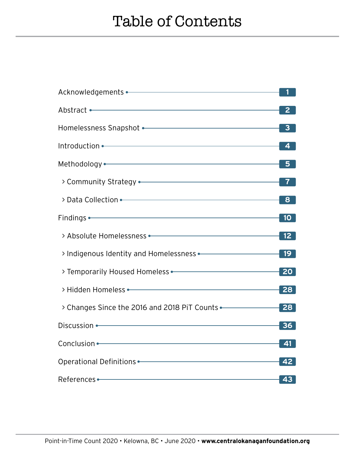| Abstract • The Commission of the Commission of the Commission of the Commission of the Commission of the Commission of the Commission of the Commission of the Commission of the Commission of the Commission of the Commissio | 2                       |
|--------------------------------------------------------------------------------------------------------------------------------------------------------------------------------------------------------------------------------|-------------------------|
| Homelessness Snapshot • The Committee of the Committee of the Committee of the Committee of the Committee of the Committee of the Committee of the Committee of the Committee of the Committee of the Committee of the Committ | 3                       |
| Introduction • Participation and Control of the Control of the Control of the Control of the Control of the Co                                                                                                                 | $\overline{\mathbf{4}}$ |
| Methodology • Particular and Control and Control and Control and Control and Control and Control and Control and Control and Control and Control and Control and Control and Control and Control and Control and Control and C | 5                       |
|                                                                                                                                                                                                                                |                         |
| > Data Collection • The Collection • The Collection of The Collection • The Collection of The Collection of The Collection of The Collection of The Collection of The Collection of The Collection of The Collection of The Co | 8                       |
| Findings • The Commission of the Commission of the Commission of the Commission of the Commission of the Commission of the Commission of the Commission of the Commission of the Commission of the Commission of the Commissio | 10 <sub>1</sub>         |
| > Absolute Homelessness • The Content of the Content of the Content of the Content of the Content of the Content of the Content of the Content of the Content of the Content of the Content of the Content of the Content of t | 12 <sup>°</sup>         |
|                                                                                                                                                                                                                                | 19 <sup>°</sup>         |
| > Temporarily Housed Homeless • The Commission of the Commission of the Commission of the Commission of the Co                                                                                                                 | 20                      |
|                                                                                                                                                                                                                                | 28                      |
| > Changes Since the 2016 and 2018 PiT Counts <                                                                                                                                                                                 | 28                      |
| Discussion • 2008 - 2009 - 2009 - 2010 - 2010 - 2010 - 2010 - 2010 - 2010 - 2010 - 2010 - 2010 - 2010 - 2010 -                                                                                                                 | 36                      |
| Conclusion • The Conclusion of the Conclusion of the Conclusion of the Conclusion of the Conclusion of the Concern of the Concern of the Concern of the Concern of the Concern of the Concern of the Concern of the Concern of | 41                      |
| Operational Definitions • The Context of the Context of the Context of the Context of the Context of the Context of the Context of the Context of the Context of the Context of the Context of the Context of the Context of t | 42                      |
| References • The Commission of the Commission of the Commission of the Commission of the Commission of the Comm                                                                                                                | 43                      |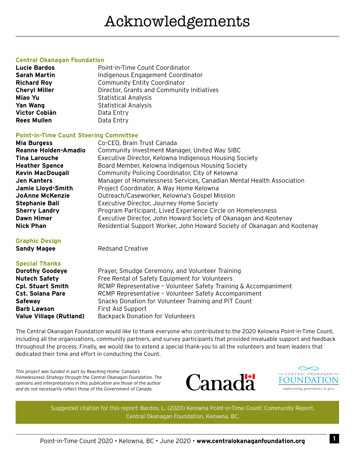#### **Central Okanagan Foundation**

| <b>Lucie Bardos</b>  | Point-in-Time Count Coordinator            |
|----------------------|--------------------------------------------|
| <b>Sarah Martin</b>  | Indigenous Engagement Coordinator          |
| <b>Richard Roy</b>   | <b>Community Entity Coordinator</b>        |
| <b>Cheryl Miller</b> | Director, Grants and Community Initiatives |
| Miao Yu              | <b>Statistical Analysis</b>                |
| <b>Yan Wang</b>      | <b>Statistical Analysis</b>                |
| Victor Cobián        | Data Entry                                 |
| <b>Rees Mullen</b>   | Data Entry                                 |

#### **Point-in-Time Count Steering Committee**

| <b>Mia Burgess</b>          | Co-CEO, Brain Trust Canada                                               |
|-----------------------------|--------------------------------------------------------------------------|
| <b>Reanne Holden-Amadio</b> | Community Investment Manager, United Way SIBC                            |
| <b>Tina Larouche</b>        | Executive Director, Kelowna Indigenous Housing Society                   |
| <b>Heather Spence</b>       | Board Member, Kelowna Indigenous Housing Society                         |
| <b>Kevin MacDougall</b>     | Community Policing Coordinator, City of Kelowna                          |
| <b>Jen Kanters</b>          | Manager of Homelessness Services, Canadian Mental Health Association     |
| Jamie Lloyd-Smith           | Project Coordinator, A Way Home Kelowna                                  |
| <b>JoAnne McKenzie</b>      | Outreach/Caseworker, Kelowna's Gospel Mission                            |
| <b>Stephanie Ball</b>       | Executive Director, Journey Home Society                                 |
| <b>Sherry Landry</b>        | Program Participant, Lived Experience Circle on Homelessness             |
| <b>Dawn Himer</b>           | Executive Director, John Howard Society of Okanagan and Kootenay         |
| <b>Nick Phan</b>            | Residential Support Worker, John Howard Society of Okanagan and Kootenay |

#### **Graphic Design**

**Sandy Magee** Redsand Creative

#### **Special Thanks**

| <b>Dorothy Goodeye</b>         | Prayer, Smudge Ceremony, and Volunteer Training                 |
|--------------------------------|-----------------------------------------------------------------|
| <b>Nutech Safety</b>           | Free Rental of Safety Equipment for Volunteers                  |
| <b>Cpl. Stuart Smith</b>       | RCMP Representative - Volunteer Safety Training & Accompaniment |
| <b>Cst. Solana Pare</b>        | RCMP Representative - Volunteer Safety Accompaniment            |
| <b>Safeway</b>                 | Snacks Donation for Volunteer Training and PIT Count            |
| <b>Barb Lawson</b>             | First Aid Support                                               |
| <b>Value Village (Rutland)</b> | <b>Backpack Donation for Volunteers</b>                         |

The Central Okanagan Foundation would like to thank everyone who contributed to the 2020 Kelowna Point-in-Time Count, including all the organizations, community partners, and survey participants that provided invaluable support and feedback throughout the process. Finally, we would like to extend a special thank-you to all the volunteers and team leaders that dedicated their time and effort in conducting the Count.

*This project was funded in part by Reaching Home: Canada's Homelessness Strategy through the Central Okanagan Foundation. The opinions and interpretations in this publication are those of the author and do not necessarily reflect those of the Government of Canada.*





Suggested citation for this report: Bardos, L. (2020) Kelowna Point-in-Time Count: Community Report. Central Okanagan Foundation. Kelowna, BC.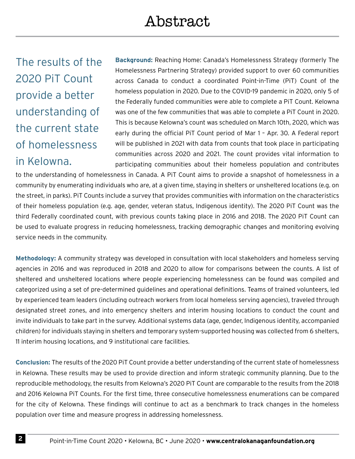The results of the 2020 PiT Count provide a better understanding of the current state of homelessness in Kelowna.

**Background:** Reaching Home: Canada's Homelessness Strategy (formerly The Homelessness Partnering Strategy) provided support to over 60 communities across Canada to conduct a coordinated Point-in-Time (PiT) Count of the homeless population in 2020. Due to the COVID-19 pandemic in 2020, only 5 of the Federally funded communities were able to complete a PiT Count. Kelowna was one of the few communities that was able to complete a PiT Count in 2020. This is because Kelowna's count was scheduled on March 10th, 2020, which was early during the official PiT Count period of Mar 1 – Apr. 30. A Federal report will be published in 2021 with data from counts that took place in participating communities across 2020 and 2021. The count provides vital information to participating communities about their homeless population and contributes

to the understanding of homelessness in Canada. A PiT Count aims to provide a snapshot of homelessness in a community by enumerating individuals who are, at a given time, staying in shelters or unsheltered locations (e.g. on the street, in parks). PiT Counts include a survey that provides communities with information on the characteristics of their homeless population (e.g. age, gender, veteran status, Indigenous identity). The 2020 PiT Count was the third Federally coordinated count, with previous counts taking place in 2016 and 2018. The 2020 PiT Count can be used to evaluate progress in reducing homelessness, tracking demographic changes and monitoring evolving service needs in the community.

**Methodology:** A community strategy was developed in consultation with local stakeholders and homeless serving agencies in 2016 and was reproduced in 2018 and 2020 to allow for comparisons between the counts. A list of sheltered and unsheltered locations where people experiencing homelessness can be found was compiled and categorized using a set of pre-determined guidelines and operational definitions. Teams of trained volunteers, led by experienced team leaders (including outreach workers from local homeless serving agencies), traveled through designated street zones, and into emergency shelters and interim housing locations to conduct the count and invite individuals to take part in the survey. Additional systems data (age, gender, Indigenous identity, accompanied children) for individuals staying in shelters and temporary system-supported housing was collected from 6 shelters, 11 interim housing locations, and 9 institutional care facilities.

**Conclusion:** The results of the 2020 PiT Count provide a better understanding of the current state of homelessness in Kelowna. These results may be used to provide direction and inform strategic community planning. Due to the reproducible methodology, the results from Kelowna's 2020 PiT Count are comparable to the results from the 2018 and 2016 Kelowna PiT Counts. For the first time, three consecutive homelessness enumerations can be compared for the city of Kelowna. These findings will continue to act as a benchmark to track changes in the homeless population over time and measure progress in addressing homelessness.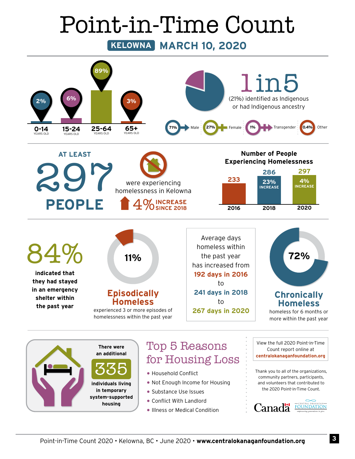# Point-in-Time Count

**KELOWNA MARCH 10, 2020**



• Substance Use Issues

**in temporary system-supported housing**

- Conflict With Landlord
- Illness or Medical Condition

the 2020 Point-in-Time Count.

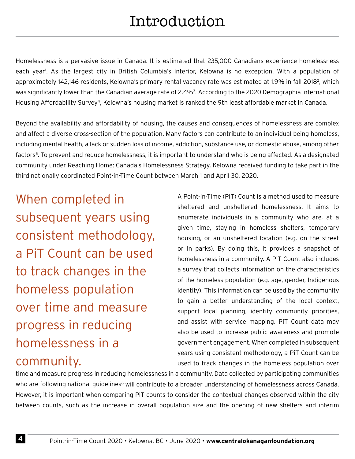Homelessness is a pervasive issue in Canada. It is estimated that 235,000 Canadians experience homelessness each year<sup>1</sup>. As the largest city in British Columbia's interior, Kelowna is no exception. With a population of approximately 142,146 residents, Kelowna's primary rental vacancy rate was estimated at 1.9% in fall 2018<sup>2</sup>, which was significantly lower than the Canadian average rate of 2.4%<sup>3</sup>. According to the 2020 Demographia International Housing Affordability Survey4, Kelowna's housing market is ranked the 9th least affordable market in Canada.

Beyond the availability and affordability of housing, the causes and consequences of homelessness are complex and affect a diverse cross-section of the population. Many factors can contribute to an individual being homeless, including mental health, a lack or sudden loss of income, addiction, substance use, or domestic abuse, among other factors5. To prevent and reduce homelessness, it is important to understand who is being affected. As a designated community under Reaching Home: Canada's Homelessness Strategy, Kelowna received funding to take part in the third nationally coordinated Point-in-Time Count between March 1 and April 30, 2020.

When completed in subsequent years using consistent methodology, a PiT Count can be used to track changes in the homeless population over time and measure progress in reducing homelessness in a community.

A Point-in-Time (PiT) Count is a method used to measure sheltered and unsheltered homelessness. It aims to enumerate individuals in a community who are, at a given time, staying in homeless shelters, temporary housing, or an unsheltered location (e.g. on the street or in parks). By doing this, it provides a snapshot of homelessness in a community. A PiT Count also includes a survey that collects information on the characteristics of the homeless population (e.g. age, gender, Indigenous identity). This information can be used by the community to gain a better understanding of the local context, support local planning, identify community priorities, and assist with service mapping. PiT Count data may also be used to increase public awareness and promote government engagement. When completed in subsequent years using consistent methodology, a PiT Count can be used to track changes in the homeless population over

time and measure progress in reducing homelessness in a community. Data collected by participating communities who are following national guidelines<sup>6</sup> will contribute to a broader understanding of homelessness across Canada. However, it is important when comparing PiT counts to consider the contextual changes observed within the city between counts, such as the increase in overall population size and the opening of new shelters and interim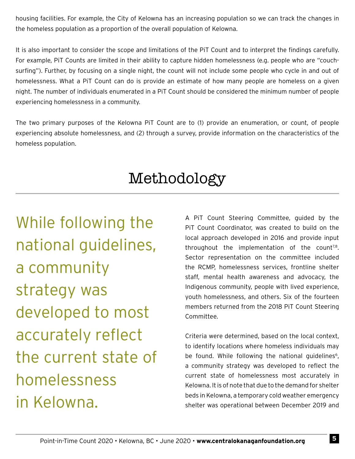housing facilities. For example, the City of Kelowna has an increasing population so we can track the changes in the homeless population as a proportion of the overall population of Kelowna.

It is also important to consider the scope and limitations of the PiT Count and to interpret the findings carefully. For example, PiT Counts are limited in their ability to capture hidden homelessness (e.g. people who are "couchsurfing"). Further, by focusing on a single night, the count will not include some people who cycle in and out of homelessness. What a PiT Count can do is provide an estimate of how many people are homeless on a given night. The number of individuals enumerated in a PiT Count should be considered the minimum number of people experiencing homelessness in a community.

The two primary purposes of the Kelowna PiT Count are to (1) provide an enumeration, or count, of people experiencing absolute homelessness, and (2) through a survey, provide information on the characteristics of the homeless population.

### Methodology

While following the national guidelines, a community strategy was developed to most accurately reflect the current state of homelessness in Kelowna.

A PiT Count Steering Committee, guided by the PiT Count Coordinator, was created to build on the local approach developed in 2016 and provide input throughout the implementation of the count<sup>7,8</sup>. Sector representation on the committee included the RCMP, homelessness services, frontline shelter staff, mental health awareness and advocacy, the Indigenous community, people with lived experience, youth homelessness, and others. Six of the fourteen members returned from the 2018 PiT Count Steering Committee.

Criteria were determined, based on the local context, to identify locations where homeless individuals may be found. While following the national quidelines<sup>6</sup>, a community strategy was developed to reflect the current state of homelessness most accurately in Kelowna. It is of note that due to the demand for shelter beds in Kelowna, a temporary cold weather emergency shelter was operational between December 2019 and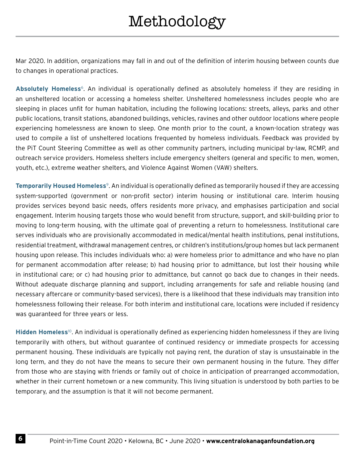Mar 2020. In addition, organizations may fall in and out of the definition of interim housing between counts due to changes in operational practices.

**Absolutely Homeless**6. An individual is operationally defined as absolutely homeless if they are residing in an unsheltered location or accessing a homeless shelter. Unsheltered homelessness includes people who are sleeping in places unfit for human habitation, including the following locations: streets, alleys, parks and other public locations, transit stations, abandoned buildings, vehicles, ravines and other outdoor locations where people experiencing homelessness are known to sleep. One month prior to the count, a known-location strategy was used to compile a list of unsheltered locations frequented by homeless individuals. Feedback was provided by the PiT Count Steering Committee as well as other community partners, including municipal by-law, RCMP, and outreach service providers. Homeless shelters include emergency shelters (general and specific to men, women, youth, etc.), extreme weather shelters, and Violence Against Women (VAW) shelters.

**Temporarily Housed Homeless**9. An individual is operationally defined as temporarily housed if they are accessing system-supported (government or non-profit sector) interim housing or institutional care. Interim housing provides services beyond basic needs, offers residents more privacy, and emphasises participation and social engagement. Interim housing targets those who would benefit from structure, support, and skill-building prior to moving to long-term housing, with the ultimate goal of preventing a return to homelessness. Institutional care serves individuals who are provisionally accommodated in medical/mental health institutions, penal institutions, residential treatment, withdrawal management centres, or children's institutions/group homes but lack permanent housing upon release. This includes individuals who: a) were homeless prior to admittance and who have no plan for permanent accommodation after release; b) had housing prior to admittance, but lost their housing while in institutional care; or c) had housing prior to admittance, but cannot go back due to changes in their needs. Without adequate discharge planning and support, including arrangements for safe and reliable housing (and necessary aftercare or community-based services), there is a likelihood that these individuals may transition into homelessness following their release. For both interim and institutional care, locations were included if residency was guaranteed for three years or less.

**Hidden Homeless**10. An individual is operationally defined as experiencing hidden homelessness if they are living temporarily with others, but without guarantee of continued residency or immediate prospects for accessing permanent housing. These individuals are typically not paying rent, the duration of stay is unsustainable in the long term, and they do not have the means to secure their own permanent housing in the future. They differ from those who are staying with friends or family out of choice in anticipation of prearranged accommodation, whether in their current hometown or a new community. This living situation is understood by both parties to be temporary, and the assumption is that it will not become permanent.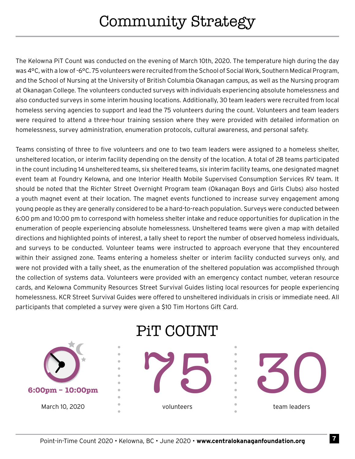The Kelowna PiT Count was conducted on the evening of March 10th, 2020. The temperature high during the day was 4°C, with a low of -6°C. 75 volunteers were recruited from the School of Social Work, Southern Medical Program, and the School of Nursing at the University of British Columbia Okanagan campus, as well as the Nursing program at Okanagan College. The volunteers conducted surveys with individuals experiencing absolute homelessness and also conducted surveys in some interim housing locations. Additionally, 30 team leaders were recruited from local homeless serving agencies to support and lead the 75 volunteers during the count. Volunteers and team leaders were required to attend a three-hour training session where they were provided with detailed information on homelessness, survey administration, enumeration protocols, cultural awareness, and personal safety.

Teams consisting of three to five volunteers and one to two team leaders were assigned to a homeless shelter, unsheltered location, or interim facility depending on the density of the location. A total of 28 teams participated in the count including 14 unsheltered teams, six sheltered teams, six interim facility teams, one designated magnet event team at Foundry Kelowna, and one Interior Health Mobile Supervised Consumption Services RV team. It should be noted that the Richter Street Overnight Program team (Okanagan Boys and Girls Clubs) also hosted a youth magnet event at their location. The magnet events functioned to increase survey engagement among young people as they are generally considered to be a hard-to-reach population. Surveys were conducted between 6:00 pm and 10:00 pm to correspond with homeless shelter intake and reduce opportunities for duplication in the enumeration of people experiencing absolute homelessness. Unsheltered teams were given a map with detailed directions and highlighted points of interest, a tally sheet to report the number of observed homeless individuals, and surveys to be conducted. Volunteer teams were instructed to approach everyone that they encountered within their assigned zone. Teams entering a homeless shelter or interim facility conducted surveys only, and were not provided with a tally sheet, as the enumeration of the sheltered population was accomplished through the collection of systems data. Volunteers were provided with an emergency contact number, veteran resource cards, and Kelowna Community Resources Street Survival Guides listing local resources for people experiencing homelessness. KCR Street Survival Guides were offered to unsheltered individuals in crisis or immediate need. All participants that completed a survey were given a \$10 Tim Hortons Gift Card.

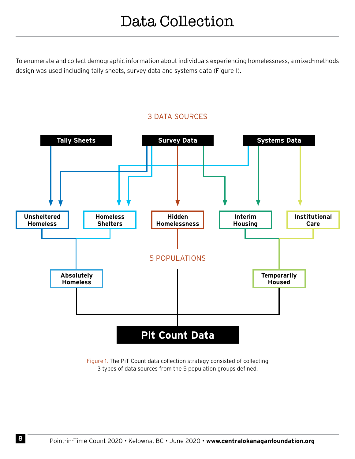To enumerate and collect demographic information about individuals experiencing homelessness, a mixed-methods design was used including tally sheets, survey data and systems data (Figure 1).



3 DATA SOURCES

Figure 1. The PiT Count data collection strategy consisted of collecting 3 types of data sources from the 5 population groups defined.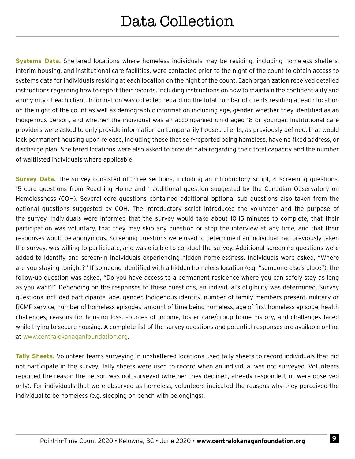**Systems Data.** Sheltered locations where homeless individuals may be residing, including homeless shelters, interim housing, and institutional care facilities, were contacted prior to the night of the count to obtain access to systems data for individuals residing at each location on the night of the count. Each organization received detailed instructions regarding how to report their records, including instructions on how to maintain the confidentiality and anonymity of each client. Information was collected regarding the total number of clients residing at each location on the night of the count as well as demographic information including age, gender, whether they identified as an Indigenous person, and whether the individual was an accompanied child aged 18 or younger. Institutional care providers were asked to only provide information on temporarily housed clients, as previously defined, that would lack permanent housing upon release, including those that self-reported being homeless, have no fixed address, or discharge plan. Sheltered locations were also asked to provide data regarding their total capacity and the number of waitlisted individuals where applicable.

**Survey Data.** The survey consisted of three sections, including an introductory script, 4 screening questions, 15 core questions from Reaching Home and 1 additional question suggested by the Canadian Observatory on Homelessness (COH). Several core questions contained additional optional sub questions also taken from the optional questions suggested by COH. The introductory script introduced the volunteer and the purpose of the survey. Individuals were informed that the survey would take about 10-15 minutes to complete, that their participation was voluntary, that they may skip any question or stop the interview at any time, and that their responses would be anonymous. Screening questions were used to determine if an individual had previously taken the survey, was willing to participate, and was eligible to conduct the survey. Additional screening questions were added to identify and screen-in individuals experiencing hidden homelessness. Individuals were asked, "Where are you staying tonight?" If someone identified with a hidden homeless location (e.g. "someone else's place"), the follow-up question was asked, "Do you have access to a permanent residence where you can safely stay as long as you want?" Depending on the responses to these questions, an individual's eligibility was determined. Survey questions included participants' age, gender, Indigenous identity, number of family members present, military or RCMP service, number of homeless episodes, amount of time being homeless, age of first homeless episode, health challenges, reasons for housing loss, sources of income, foster care/group home history, and challenges faced while trying to secure housing. A complete list of the survey questions and potential responses are available online at www.centralokanaganfoundation.org.

**Tally Sheets.** Volunteer teams surveying in unsheltered locations used tally sheets to record individuals that did not participate in the survey. Tally sheets were used to record when an individual was not surveyed. Volunteers reported the reason the person was not surveyed (whether they declined, already responded, or were observed only). For individuals that were observed as homeless, volunteers indicated the reasons why they perceived the individual to be homeless (e.g. sleeping on bench with belongings).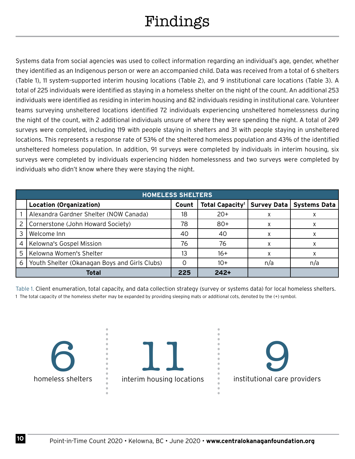## Findings

Systems data from social agencies was used to collect information regarding an individual's age, gender, whether they identified as an Indigenous person or were an accompanied child. Data was received from a total of 6 shelters (Table 1), 11 system-supported interim housing locations (Table 2), and 9 institutional care locations (Table 3). A total of 225 individuals were identified as staying in a homeless shelter on the night of the count. An additional 253 individuals were identified as residing in interim housing and 82 individuals residing in institutional care. Volunteer teams surveying unsheltered locations identified 72 individuals experiencing unsheltered homelessness during the night of the count, with 2 additional individuals unsure of where they were spending the night. A total of 249 surveys were completed, including 119 with people staying in shelters and 31 with people staying in unsheltered locations. This represents a response rate of 53% of the sheltered homeless population and 43% of the identified unsheltered homeless population. In addition, 91 surveys were completed by individuals in interim housing, six surveys were completed by individuals experiencing hidden homelessness and two surveys were completed by individuals who didn't know where they were staying the night.

|   | <b>HOMELESS SHELTERS</b>                      |       |                             |             |                     |
|---|-----------------------------------------------|-------|-----------------------------|-------------|---------------------|
|   | <b>Location (Organization)</b>                | Count | Total Capacity <sup>1</sup> | Survey Data | <b>Systems Data</b> |
|   | Alexandra Gardner Shelter (NOW Canada)        | 18    | $20+$                       | x           |                     |
| 2 | Cornerstone (John Howard Society)             | 78    | $80+$                       | x           |                     |
| 3 | Welcome Inn                                   | 40    | 40                          | x           |                     |
| 4 | Kelowna's Gospel Mission                      | 76    | 76                          | x           |                     |
| 5 | Kelowna Women's Shelter                       | 13    | $16+$                       |             |                     |
| 6 | Youth Shelter (Okanagan Boys and Girls Clubs) |       | $10+$                       | n/a         | n/a                 |
|   | <b>Total</b>                                  | 225   | $242+$                      |             |                     |

Table 1. Client enumeration, total capacity, and data collection strategy (survey or systems data) for local homeless shelters. 1 The total capacity of the homeless shelter may be expanded by providing sleeping mats or additional cots, denoted by the (+) symbol.

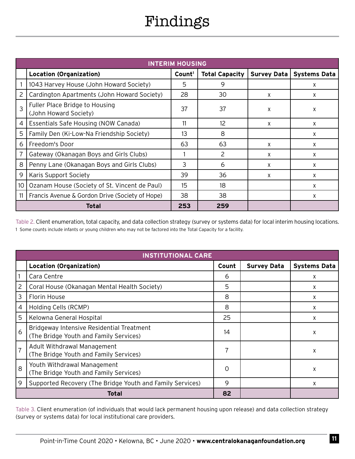### Findings

|    | <b>INTERIM HOUSING</b>                                  |                    |                       |                    |                     |
|----|---------------------------------------------------------|--------------------|-----------------------|--------------------|---------------------|
|    | <b>Location (Organization)</b>                          | Count <sup>1</sup> | <b>Total Capacity</b> | <b>Survey Data</b> | <b>Systems Data</b> |
|    | 1043 Harvey House (John Howard Society)                 | 5                  | 9                     |                    | X                   |
|    | Cardington Apartments (John Howard Society)             | 28                 | 30                    | X                  | X                   |
|    | Fuller Place Bridge to Housing<br>(John Howard Society) | 37                 | 37                    | X                  | X                   |
| 4  | Essentials Safe Housing (NOW Canada)                    | 11                 | 12                    | X                  | X                   |
| 5  | Family Den (Ki-Low-Na Friendship Society)               | 13                 | 8                     |                    | X                   |
| 6  | Freedom's Door                                          | 63                 | 63                    | X                  | X                   |
| 7  | Gateway (Okanagan Boys and Girls Clubs)                 |                    | 2                     | X                  | X                   |
| 8  | Penny Lane (Okanagan Boys and Girls Clubs)              | 3                  | 6                     | X                  | X                   |
| 9  | Karis Support Society                                   | 39                 | 36                    | X                  | X                   |
| 10 | Ozanam House (Society of St. Vincent de Paul)           | 15                 | 18                    |                    | X                   |
| 11 | Francis Avenue & Gordon Drive (Society of Hope)         | 38                 | 38                    |                    | X                   |
|    | Total                                                   | 253                | 259                   |                    |                     |

Table 2. Client enumeration, total capacity, and data collection strategy (survey or systems data) for local interim housing locations. 1 Some counts include infants or young children who may not be factored into the Total Capacity for a facility.

|                | <b>INSTITUTIONAL CARE</b>                                                           |       |                    |                     |
|----------------|-------------------------------------------------------------------------------------|-------|--------------------|---------------------|
|                | <b>Location (Organization)</b>                                                      | Count | <b>Survey Data</b> | <b>Systems Data</b> |
|                | Cara Centre                                                                         | 6     |                    | x                   |
| 2              | Coral House (Okanagan Mental Health Society)                                        | 5     |                    | X                   |
| 3              | Florin House                                                                        | 8     |                    | X                   |
| 4              | Holding Cells (RCMP)                                                                | 8     |                    | X                   |
| 5              | Kelowna General Hospital                                                            | 25    |                    | X                   |
| 6              | Bridgeway Intensive Residential Treatment<br>(The Bridge Youth and Family Services) | 14    |                    | χ                   |
| $\overline{7}$ | Adult Withdrawal Management<br>(The Bridge Youth and Family Services)               | 7     |                    | X                   |
| 8              | Youth Withdrawal Management<br>(The Bridge Youth and Family Services)               | 0     |                    | X                   |
| 9              | Supported Recovery (The Bridge Youth and Family Services)                           | 9     |                    | X                   |
|                | Total                                                                               | 82    |                    |                     |

Table 3. Client enumeration (of individuals that would lack permanent housing upon release) and data collection strategy (survey or systems data) for local institutional care providers.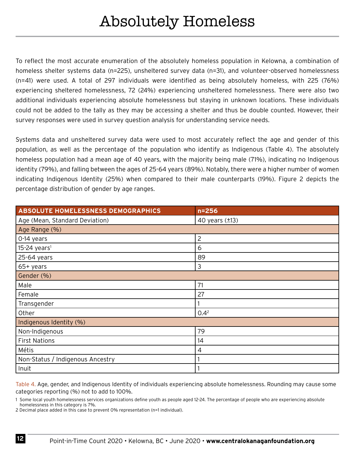To reflect the most accurate enumeration of the absolutely homeless population in Kelowna, a combination of homeless shelter systems data (n=225), unsheltered survey data (n=31), and volunteer-observed homelessness (n=41) were used. A total of 297 individuals were identified as being absolutely homeless, with 225 (76%) experiencing sheltered homelessness, 72 (24%) experiencing unsheltered homelessness. There were also two additional individuals experiencing absolute homelessness but staying in unknown locations. These individuals could not be added to the tally as they may be accessing a shelter and thus be double counted. However, their survey responses were used in survey question analysis for understanding service needs.

Systems data and unsheltered survey data were used to most accurately reflect the age and gender of this population, as well as the percentage of the population who identify as Indigenous (Table 4). The absolutely homeless population had a mean age of 40 years, with the majority being male (71%), indicating no Indigenous identity (79%), and falling between the ages of 25-64 years (89%). Notably, there were a higher number of women indicating Indigenous Identity (25%) when compared to their male counterparts (19%). Figure 2 depicts the percentage distribution of gender by age ranges.

| <b>ABSOLUTE HOMELESSNESS DEMOGRAPHICS</b> | $n = 256$           |
|-------------------------------------------|---------------------|
| Age (Mean, Standard Deviation)            | 40 years $(\pm 13)$ |
| Age Range (%)                             |                     |
| O-14 years                                | $\overline{c}$      |
| $15-24$ years <sup>1</sup>                | 6                   |
| 25-64 years                               | 89                  |
| $65+$ years                               | 3                   |
| Gender (%)                                |                     |
| Male                                      | 71                  |
| Female                                    | 27                  |
| Transgender                               |                     |
| Other                                     | 0.4 <sup>2</sup>    |
| Indigenous Identity (%)                   |                     |
| Non-Indigenous                            | 79                  |
| <b>First Nations</b>                      | 14                  |
| Métis                                     | 4                   |
| Non-Status / Indigenous Ancestry          |                     |
| Inuit                                     |                     |

Table 4. Age, gender, and Indigenous Identity of individuals experiencing absolute homelessness. Rounding may cause some categories reporting (%) not to add to 100%.

1 Some local youth homelessness services organizations define youth as people aged 12-24. The percentage of people who are experiencing absolute homelessness in this category is 7%.

2 Decimal place added in this case to prevent 0% representation (n=1 individual).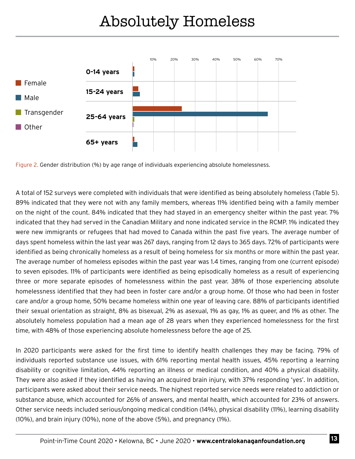

Figure 2. Gender distribution (%) by age range of individuals experiencing absolute homelessness.

A total of 152 surveys were completed with individuals that were identified as being absolutely homeless (Table 5). 89% indicated that they were not with any family members, whereas 11% identified being with a family member on the night of the count. 84% indicated that they had stayed in an emergency shelter within the past year. 7% indicated that they had served in the Canadian Military and none indicated service in the RCMP. 1% indicated they were new immigrants or refugees that had moved to Canada within the past five years. The average number of days spent homeless within the last year was 267 days, ranging from 12 days to 365 days. 72% of participants were identified as being chronically homeless as a result of being homeless for six months or more within the past year. The average number of homeless episodes within the past year was 1.4 times, ranging from one (current episode) to seven episodes. 11% of participants were identified as being episodically homeless as a result of experiencing three or more separate episodes of homelessness within the past year. 38% of those experiencing absolute homelessness identified that they had been in foster care and/or a group home. Of those who had been in foster care and/or a group home, 50% became homeless within one year of leaving care. 88% of participants identified their sexual orientation as straight, 8% as bisexual, 2% as asexual, 1% as gay, 1% as queer, and 1% as other. The absolutely homeless population had a mean age of 28 years when they experienced homelessness for the first time, with 48% of those experiencing absolute homelessness before the age of 25.

In 2020 participants were asked for the first time to identify health challenges they may be facing. 79% of individuals reported substance use issues, with 61% reporting mental health issues, 45% reporting a learning disability or cognitive limitation, 44% reporting an illness or medical condition, and 40% a physical disability. They were also asked if they identified as having an acquired brain injury, with 37% responding 'yes'. In addition, participants were asked about their service needs. The highest reported service needs were related to addiction or substance abuse, which accounted for 26% of answers, and mental health, which accounted for 23% of answers. Other service needs included serious/ongoing medical condition (14%), physical disability (11%), learning disability (10%), and brain injury (10%), none of the above (5%), and pregnancy (1%).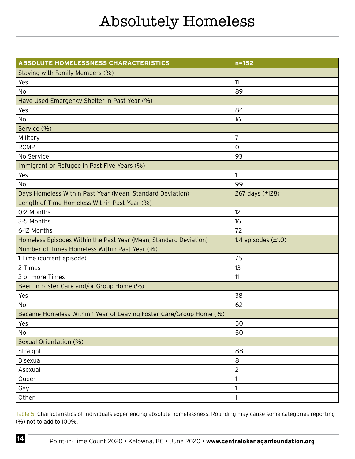| ABSOLUTE HOMELESSNESS CHARACTERISTICS                               | $n = 152$                |
|---------------------------------------------------------------------|--------------------------|
| Staying with Family Members (%)                                     |                          |
| Yes                                                                 | 11                       |
| No                                                                  | 89                       |
| Have Used Emergency Shelter in Past Year (%)                        |                          |
| Yes                                                                 | 84                       |
| No                                                                  | 16                       |
| Service (%)                                                         |                          |
| Military                                                            | $\overline{7}$           |
| <b>RCMP</b>                                                         | 0                        |
| No Service                                                          | 93                       |
| Immigrant or Refugee in Past Five Years (%)                         |                          |
| Yes                                                                 |                          |
| <b>No</b>                                                           | 99                       |
| Days Homeless Within Past Year (Mean, Standard Deviation)           | 267 days (±128)          |
| Length of Time Homeless Within Past Year (%)                        |                          |
| 0-2 Months                                                          | 12                       |
| 3-5 Months                                                          | 16                       |
| 6-12 Months                                                         | 72                       |
| Homeless Episodes Within the Past Year (Mean, Standard Deviation)   | 1.4 episodes $(\pm 1.0)$ |
| Number of Times Homeless Within Past Year (%)                       |                          |
| 1 Time (current episode)                                            | 75                       |
| 2 Times                                                             | 13                       |
| 3 or more Times                                                     | 11                       |
| Been in Foster Care and/or Group Home (%)                           |                          |
| Yes                                                                 | 38                       |
| No                                                                  | 62                       |
| Became Homeless Within 1 Year of Leaving Foster Care/Group Home (%) |                          |
| Yes                                                                 | 50                       |
| No                                                                  | 50                       |
| Sexual Orientation (%)                                              |                          |
| Straight                                                            | 88                       |
| <b>Bisexual</b>                                                     | 8                        |
| Asexual                                                             | $\overline{c}$           |
| Queer                                                               |                          |
| Gay                                                                 |                          |
| Other                                                               |                          |

Table 5. Characteristics of individuals experiencing absolute homelessness. Rounding may cause some categories reporting (%) not to add to 100%.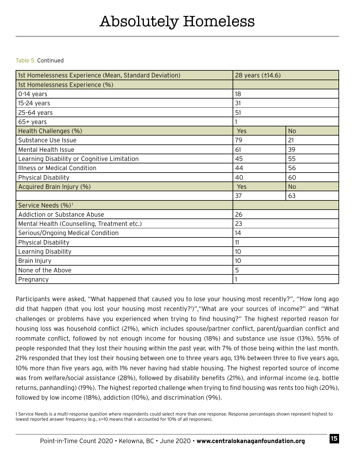Table 5. Continued

| 1st Homelessness Experience (Mean, Standard Deviation) | 28 years (±14.6) |           |
|--------------------------------------------------------|------------------|-----------|
| 1st Homelessness Experience (%)                        |                  |           |
| 0-14 years                                             | 18               |           |
| 15-24 years                                            | 31               |           |
| 25-64 years                                            | 51               |           |
| 65+ years                                              |                  |           |
| Health Challenges (%)                                  | Yes              | <b>No</b> |
| Substance Use Issue                                    | 79               | 21        |
| <b>Mental Health Issue</b>                             | 61               | 39        |
| Learning Disability or Cognitive Limitation            | 45               | 55        |
| <b>Illness or Medical Condition</b>                    | 44               | 56        |
| Physical Disability                                    | 40               | 60        |
| Acquired Brain Injury (%)                              | Yes              | No        |
|                                                        | 37               | 63        |
| Service Needs (%) <sup>1</sup>                         |                  |           |
| Addiction or Substance Abuse                           | 26               |           |
| Mental Health (Counselling, Treatment etc.)            | 23               |           |
| Serious/Ongoing Medical Condition                      | 14               |           |
| <b>Physical Disability</b>                             | 11               |           |
| Learning Disability                                    | 10               |           |
| Brain Injury                                           | 10               |           |
| None of the Above                                      | 5                |           |
| Pregnancy                                              |                  |           |

Participants were asked, "What happened that caused you to lose your housing most recently?", "How long ago did that happen (that you lost your housing most recently?1 )","What are your sources of income?" and "What challenges or problems have you experienced when trying to find housing?" The highest reported reason for housing loss was household conflict (21%), which includes spouse/partner conflict, parent/guardian conflict and roommate conflict, followed by not enough income for housing (18%) and substance use issue (13%). 55% of people responded that they lost their housing within the past year, with 7% of those being within the last month. 21% responded that they lost their housing between one to three years ago, 13% between three to five years ago, 10% more than five years ago, with 1% never having had stable housing. The highest reported source of income was from welfare/social assistance (28%), followed by disability benefits (21%), and informal income (e.g. bottle returns, panhandling) (19%). The highest reported challenge when trying to find housing was rents too high (20%), followed by low income (18%), addiction (10%), and discrimination (9%).

1 Service Needs is a multi-response question where respondents could select more than one response. Response percentages shown represent highest to lowest reported answer frequency (e.g., x=10 means that x accounted for 10% of all responses).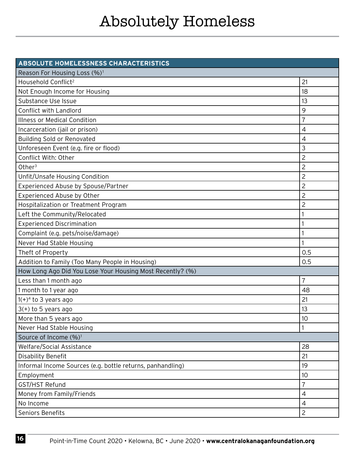| ABSOLUTE HOMELESSNESS CHARACTERISTICS                      |                |
|------------------------------------------------------------|----------------|
| Reason For Housing Loss (%) <sup>1</sup>                   |                |
| Household Conflict <sup>2</sup>                            | 21             |
| Not Enough Income for Housing                              | 18             |
| Substance Use Issue                                        | 13             |
| Conflict with Landlord                                     | 9              |
| <b>Illness or Medical Condition</b>                        | $\overline{7}$ |
| Incarceration (jail or prison)                             | 4              |
| <b>Building Sold or Renovated</b>                          | $\overline{4}$ |
| Unforeseen Event (e.g. fire or flood)                      | 3              |
| Conflict With: Other                                       | $\overline{c}$ |
| Other $3$                                                  | 2              |
| Unfit/Unsafe Housing Condition                             | $\overline{c}$ |
| Experienced Abuse by Spouse/Partner                        | 2              |
| Experienced Abuse by Other                                 | 2              |
| Hospitalization or Treatment Program                       | 2              |
| Left the Community/Relocated                               |                |
| <b>Experienced Discrimination</b>                          |                |
| Complaint (e.g. pets/noise/damage)                         |                |
| Never Had Stable Housing                                   |                |
| Theft of Property                                          | 0.5            |
| Addition to Family (Too Many People in Housing)            | 0.5            |
| How Long Ago Did You Lose Your Housing Most Recently? (%)  |                |
| Less than 1 month ago                                      | 7              |
| 1 month to 1 year ago                                      | 48             |
| $1(+)^4$ to 3 years ago                                    | 21             |
| $3(+)$ to 5 years ago                                      | 13             |
| More than 5 years ago                                      | 10             |
| Never Had Stable Housing                                   |                |
| Source of Income (%) <sup>1</sup>                          |                |
| <b>Welfare/Social Assistance</b>                           | 28             |
| Disability Benefit                                         | 21             |
| Informal Income Sources (e.g. bottle returns, panhandling) | 19             |
| Employment                                                 | 10             |
| GST/HST Refund                                             | $\overline{7}$ |
| Money from Family/Friends                                  | $\overline{4}$ |
| No Income                                                  | 4              |
| Seniors Benefits                                           | $\overline{2}$ |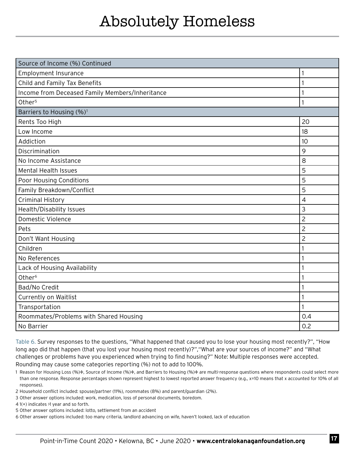| Source of Income (%) Continued                  |                |
|-------------------------------------------------|----------------|
| <b>Employment Insurance</b>                     |                |
| Child and Family Tax Benefits                   |                |
| Income from Deceased Family Members/Inheritance |                |
| Other <sup>5</sup>                              | $\mathbf{1}$   |
| Barriers to Housing (%) <sup>1</sup>            |                |
| Rents Too High                                  | 20             |
| Low Income                                      | 18             |
| Addiction                                       | 10             |
| Discrimination                                  | 9              |
| No Income Assistance                            | 8              |
| <b>Mental Health Issues</b>                     | 5              |
| Poor Housing Conditions                         | 5              |
| Family Breakdown/Conflict                       | 5              |
| <b>Criminal History</b>                         | $\overline{4}$ |
| Health/Disability Issues                        | 3              |
| Domestic Violence                               | 2              |
| Pets                                            | $\overline{c}$ |
| Don't Want Housing                              | $\overline{c}$ |
| Children                                        |                |
| No References                                   |                |
| Lack of Housing Availability                    |                |
| Other <sup>6</sup>                              |                |
| Bad/No Credit                                   |                |
| Currently on Waitlist                           |                |
| Transportation                                  | $\mathbf{1}$   |
| Roommates/Problems with Shared Housing          | 0.4            |
| No Barrier                                      | 0.2            |

Table 6. Survey responses to the questions, "What happened that caused you to lose your housing most recently?", "How long ago did that happen (that you lost your housing most recently)?","What are your sources of income?" and "What challenges or problems have you experienced when trying to find housing?" Note: Multiple responses were accepted. Rounding may cause some categories reporting (%) not to add to 100%.

- 1 Reason for Housing Loss (%)+, Source of Income (%)+, and Barriers to Housing (%)+ are multi-response questions where respondents could select more than one response. Response percentages shown represent highest to lowest reported answer frequency (e.g., x=10 means that x accounted for 10% of all responses).
- 2 Household conflict included: spouse/partner (11%), roommates (8%) and parent/guardian (2%).
- 3 Other answer options included: work, medication, loss of personal documents, boredom.
- 4 1(+) indicates >1 year and so forth.
- 5 Other answer options included: lotto, settlement from an accident
- 6 Other answer options included: too many criteria, landlord advancing on wife, haven't looked, lack of education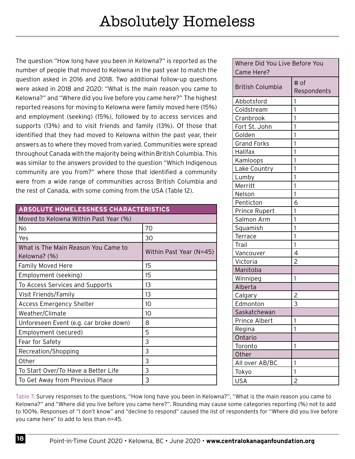The question "How long have you been in Kelowna?" is reported as the number of people that moved to Kelowna in the past year to match the question asked in 2016 and 2018. Two additional follow-up questions were asked in 2018 and 2020: "What is the main reason you came to Kelowna?" and "Where did you live before you came here?" The highest reported reasons for moving to Kelowna were family moved here (15%) and employment (seeking) (15%), followed by to access services and supports (13%) and to visit friends and family (13%). Of those that identified that they had moved to Kelowna within the past year, their answers as to where they moved from varied. Communities were spread throughout Canada with the majority being within British Columbia. This was similar to the answers provided to the question "Which Indigenous community are you from?" where those that identified a community were from a wide range of communities across British Columbia and the rest of Canada, with some coming from the USA (Table 12).

| ABSOLUTE HOMELESSNESS CHARACTERISTICS               |                         |
|-----------------------------------------------------|-------------------------|
| Moved to Kelowna Within Past Year (%)               |                         |
| No.                                                 | 70                      |
| Yes                                                 | 30                      |
| What is The Main Reason You Came to<br>Kelowna? (%) | Within Past Year (N=45) |
| <b>Family Moved Here</b>                            | 15                      |
| Employment (seeking)                                | 15                      |
| To Access Services and Supports                     | 13                      |
| Visit Friends/Family                                | 13                      |
| <b>Access Emergency Shelter</b>                     | 10                      |
| Weather/Climate                                     | 10                      |
| Unforeseen Event (e.g. car broke down)              | 8                       |
| Employment (secured)                                | 5                       |
| Fear for Safety                                     | 3                       |
| Recreation/Shopping                                 | 3                       |
| Other                                               | 3                       |
| To Start Over/To Have a Better Life                 | 3                       |
| To Get Away from Previous Place                     | 3                       |

| Where Did You Live Before You |                |
|-------------------------------|----------------|
| Came Here?                    |                |
|                               | # of           |
| <b>British Columbia</b>       | Respondents    |
| Abbotsford                    | 1              |
| Coldstream                    | $\mathbf{1}$   |
| Cranbrook                     | 1              |
| Fort St. John                 | 1              |
| Golden                        | 1              |
| <b>Grand Forks</b>            | 1              |
| Halifax                       | 1              |
| Kamloops                      | 1              |
| Lake Country                  | 1              |
| Lumby                         | 1              |
| Merritt                       | $\mathbf{1}$   |
| Nelson                        | 1              |
| Penticton                     | 6              |
| Prince Rupert                 | 1              |
| Salmon Arm                    | 1              |
| Squamish                      | 1              |
| Terrace                       | 1              |
| Trail                         | $\mathbf{1}$   |
| Vancouver                     | 4              |
| Victoria                      | $\overline{c}$ |
| Manitoba                      |                |
| Winnipeg                      | 1              |
| Alberta                       |                |
| Calgary                       |                |
| Edmonton                      | $rac{2}{3}$    |
| Saskatchewan                  |                |
| Prince Albert                 | 1              |
| Regina                        | 1              |
| Ontario                       |                |
| Toronto                       | 1              |
| Other                         |                |
| All over AB/BC                | 1              |
| Tokyo                         | 1              |
| <b>USA</b>                    | $\overline{c}$ |

Table 7. Survey responses to the questions, "How long have you been in Kelowna?", "What is the main reason you came to Kelowna?" and "Where did you live before you came here?". Rounding may cause some categories reporting (%) not to add to 100%. Responses of "I don't know" and "decline to respond" caused the list of respondents for "Where did you live before you came here" to add to less than n=45.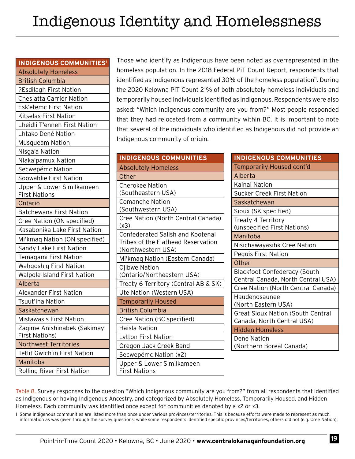| <b>INDIGENOUS COMMUNITIES1</b>                       |
|------------------------------------------------------|
| <b>Absolutely Homeless</b>                           |
| <b>British Columbia</b>                              |
| ?Esdilagh First Nation                               |
| <b>Cheslatta Carrier Nation</b>                      |
| <b>Esk'etemc First Nation</b>                        |
| <b>Kitselas First Nation</b>                         |
| Lheidli T'enneh First Nation                         |
| Lhtako Dené Nation                                   |
| Musqueam Nation                                      |
| Nisga'a Nation                                       |
| Nlaka'pamux Nation                                   |
| Secwepémc Nation                                     |
| Soowahlie First Nation                               |
| Upper & Lower Similkameen                            |
| <b>First Nations</b>                                 |
| Ontario                                              |
| <b>Batchewana First Nation</b>                       |
| Cree Nation (ON specified)                           |
| Kasabonika Lake First Nation                         |
| Mi'kmaq Nation (ON specified)                        |
| Sandy Lake First Nation                              |
| Temagami First Nation                                |
| <b>Wahgoshig First Nation</b>                        |
| Walpole Island First Nation                          |
| Alberta                                              |
| Alexander First Nation                               |
| Tsuut'ina Nation                                     |
| Saskatchewan                                         |
| <b>Mistawasis First Nation</b>                       |
| Zagime Anishinabek (Sakimay<br><b>First Nations)</b> |
| Northwest Territories                                |
| <b>Tetlit Gwich'in First Nation</b>                  |
| Manitoba                                             |
| <b>Rolling River First Nation</b>                    |

Those who identify as Indigenous have been noted as overrepresented in the homeless population. In the 2018 Federal PiT Count Report, respondents that dentified as Indigenous represented 30% of the homeless population<sup>11</sup>. During the 2020 Kelowna PiT Count 21% of both absolutely homeless individuals and temporarily housed individuals identified as Indigenous. Respondents were also asked: "Which Indigenous community are you from?" Most people responded that they had relocated from a community within BC. It is important to note that several of the individuals who identified as Indigenous did not provide an ndigenous community of origin.

| <b>INDIGENOUS COMMUNITIES</b>                     |
|---------------------------------------------------|
| <b>Absolutely Homeless</b>                        |
| Other                                             |
| <b>Cherokee Nation</b>                            |
| (Southeastern USA)                                |
| <b>Comanche Nation</b>                            |
| (Southwestern USA)                                |
| Cree Nation (North Central Canada)<br>(x3)        |
| <b>Confederated Salish and Kootenai</b>           |
| Tribes of the Flathead Reservation                |
| (Northwestern USA)                                |
| Mi'kmaq Nation (Eastern Canada)                   |
| <b>Ojibwe Nation</b>                              |
| (Ontario/Northeastern USA)                        |
| Treaty 6 Territory (Central AB & SK)              |
| Ute Nation (Western USA)                          |
| <b>Temporarily Housed</b>                         |
| <b>British Columbia</b>                           |
| Cree Nation (BC specified)                        |
| <b>Haisla Nation</b>                              |
| Lytton First Nation                               |
| Oregon Jack Creek Band                            |
| Secwepémc Nation (x2)                             |
| Upper & Lower Similkameen<br><b>First Nations</b> |

| <b>INDIGENOUS COMMUNITIES</b>                                             |
|---------------------------------------------------------------------------|
| <b>Temporarily Housed cont'd</b>                                          |
| Alberta                                                                   |
| Kainai Nation                                                             |
| Sucker Creek First Nation                                                 |
| Saskatchewan                                                              |
| Sioux (SK specified)                                                      |
| Treaty 4 Territory<br>(unspecified First Nations)                         |
| Manitoba                                                                  |
| Nisichawayasihk Cree Nation                                               |
| Peguis First Nation                                                       |
| Other                                                                     |
| <b>Blackfoot Confederacy (South</b><br>Central Canada, North Central USA) |
| Cree Nation (North Central Canada)                                        |
| Haudenosaunee<br>(North Eastern USA)                                      |
| <b>Great Sioux Nation (South Central</b><br>Canada, North Central USA)    |
| <b>Hidden Homeless</b>                                                    |
| Dene Nation<br>(Northern Boreal Canada)                                   |

Table 8. Survey responses to the question "Which Indigenous community are you from?" from all respondents that identified as Indigenous or having Indigenous Ancestry, and categorized by Absolutely Homeless, Temporarily Housed, and Hidden Homeless. Each community was identified once except for communities denoted by a x2 or x3.

1 Some Indigenous communities are listed more than once under various provinces/territories. This is because efforts were made to represent as much information as was given through the survey questions; while some respondents identified specific provinces/territories, others did not (e.g. Cree Nation).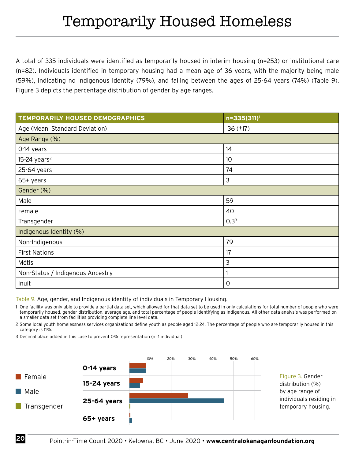A total of 335 individuals were identified as temporarily housed in interim housing (n=253) or institutional care (n=82). Individuals identified in temporary housing had a mean age of 36 years, with the majority being male (59%), indicating no Indigenous identity (79%), and falling between the ages of 25-64 years (74%) (Table 9). Figure 3 depicts the percentage distribution of gender by age ranges.

| TEMPORARILY HOUSED DEMOGRAPHICS  | n=335(311) <sup>1</sup> |  |
|----------------------------------|-------------------------|--|
| Age (Mean, Standard Deviation)   | $36$ ( $±17$ )          |  |
| Age Range (%)                    |                         |  |
| 0-14 years                       | 14                      |  |
| $15-24$ years <sup>2</sup>       | 10                      |  |
| 25-64 years                      | 74                      |  |
| $65+$ years                      | 3                       |  |
| Gender (%)                       |                         |  |
| Male                             | 59                      |  |
| Female                           | 40                      |  |
| Transgender                      | $0.3^{3}$               |  |
| Indigenous Identity (%)          |                         |  |
| Non-Indigenous                   | 79                      |  |
| <b>First Nations</b>             | 17                      |  |
| Métis                            | 3                       |  |
| Non-Status / Indigenous Ancestry |                         |  |
| Inuit                            | 0                       |  |

Table 9. Age, gender, and Indigenous identity of individuals in Temporary Housing.

1 One facility was only able to provide a partial data set, which allowed for that data set to be used in only calculations for total number of people who were temporarily housed, gender distribution, average age, and total percentage of people identifying as Indigenous. All other data analysis was performed on a smaller data set from facilities providing complete line level data.

2 Some local youth homelessness services organizations define youth as people aged 12-24. The percentage of people who are temporarily housed in this category is 11%.

3 Decimal place added in this case to prevent 0% representation (n=1 individual)

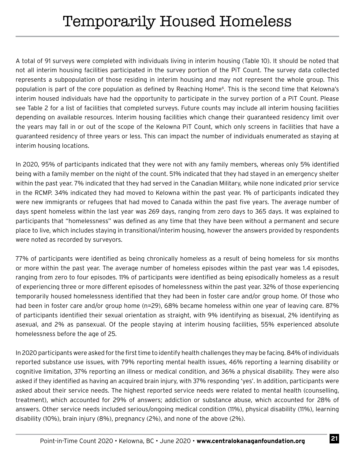A total of 91 surveys were completed with individuals living in interim housing (Table 10). It should be noted that not all interim housing facilities participated in the survey portion of the PiT Count. The survey data collected represents a subpopulation of those residing in interim housing and may not represent the whole group. This population is part of the core population as defined by Reaching Home<sup>6</sup>. This is the second time that Kelowna's interim housed individuals have had the opportunity to participate in the survey portion of a PiT Count. Please see Table 2 for a list of facilities that completed surveys. Future counts may include all interim housing facilities depending on available resources. Interim housing facilities which change their guaranteed residency limit over the years may fall in or out of the scope of the Kelowna PiT Count, which only screens in facilities that have a guaranteed residency of three years or less. This can impact the number of individuals enumerated as staying at interim housing locations.

In 2020, 95% of participants indicated that they were not with any family members, whereas only 5% identified being with a family member on the night of the count. 51% indicated that they had stayed in an emergency shelter within the past year. 7% indicated that they had served in the Canadian Military, while none indicated prior service in the RCMP. 34% indicated they had moved to Kelowna within the past year. 1% of participants indicated they were new immigrants or refugees that had moved to Canada within the past five years. The average number of days spent homeless within the last year was 269 days, ranging from zero days to 365 days. It was explained to participants that "homelessness" was defined as any time that they have been without a permanent and secure place to live, which includes staying in transitional/interim housing, however the answers provided by respondents were noted as recorded by surveyors.

77% of participants were identified as being chronically homeless as a result of being homeless for six months or more within the past year. The average number of homeless episodes within the past year was 1.4 episodes, ranging from zero to four episodes. 11% of participants were identified as being episodically homeless as a result of experiencing three or more different episodes of homelessness within the past year. 32% of those experiencing temporarily housed homelessness identified that they had been in foster care and/or group home. Of those who had been in foster care and/or group home (n=29), 68% became homeless within one year of leaving care. 87% of participants identified their sexual orientation as straight, with 9% identifying as bisexual, 2% identifying as asexual, and 2% as pansexual. Of the people staying at interim housing facilities, 55% experienced absolute homelessness before the age of 25.

In 2020 participants were asked for the first time to identify health challenges they may be facing. 84% of individuals reported substance use issues, with 79% reporting mental health issues, 46% reporting a learning disability or cognitive limitation, 37% reporting an illness or medical condition, and 36% a physical disability. They were also asked if they identified as having an acquired brain injury, with 37% responding 'yes'. In addition, participants were asked about their service needs. The highest reported service needs were related to mental health (counselling, treatment), which accounted for 29% of answers; addiction or substance abuse, which accounted for 28% of answers. Other service needs included serious/ongoing medical condition (11%), physical disability (11%), learning disability (10%), brain injury (8%), pregnancy (2%), and none of the above (2%).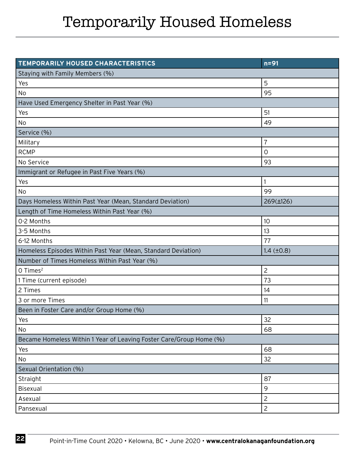# Temporarily Housed Homeless

| TEMPORARILY HOUSED CHARACTERISTICS                                  | $n = 91$            |
|---------------------------------------------------------------------|---------------------|
| Staying with Family Members (%)                                     |                     |
| Yes                                                                 | 5                   |
| <b>No</b>                                                           | 95                  |
| Have Used Emergency Shelter in Past Year (%)                        |                     |
| Yes                                                                 | 51                  |
| No                                                                  | 49                  |
| Service (%)                                                         |                     |
| Military                                                            | $\overline{7}$      |
| <b>RCMP</b>                                                         | 0                   |
| No Service                                                          | 93                  |
| Immigrant or Refugee in Past Five Years (%)                         |                     |
| Yes                                                                 |                     |
| No                                                                  | 99                  |
| Days Homeless Within Past Year (Mean, Standard Deviation)           | 269(±126)           |
| Length of Time Homeless Within Past Year (%)                        |                     |
| 0-2 Months                                                          | 10                  |
| 3-5 Months                                                          | 13                  |
| 6-12 Months                                                         | 77                  |
| Homeless Episodes Within Past Year (Mean, Standard Deviation)       | $1.4$ ( $\pm 0.8$ ) |
| Number of Times Homeless Within Past Year (%)                       |                     |
| O Times <sup>2</sup>                                                | $\overline{c}$      |
| 1 Time (current episode)                                            | 73                  |
| 2 Times                                                             | 14                  |
| 3 or more Times                                                     | 11                  |
| Been in Foster Care and/or Group Home (%)                           |                     |
| Yes                                                                 | 32                  |
| No                                                                  | 68                  |
| Became Homeless Within 1 Year of Leaving Foster Care/Group Home (%) |                     |
| Yes                                                                 | 68                  |
| No                                                                  | 32                  |
| Sexual Orientation (%)                                              |                     |
| Straight                                                            | 87                  |
| Bisexual                                                            | 9                   |
| Asexual                                                             | $\overline{c}$      |
| Pansexual                                                           | $\overline{c}$      |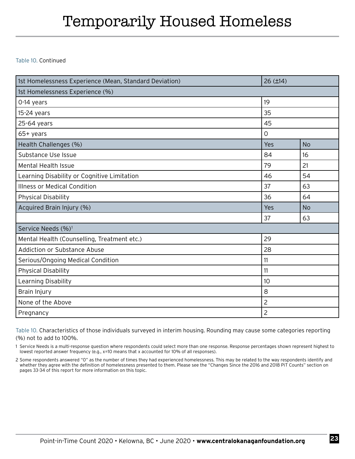### Temporarily Housed Homeless

Table 10. Continued

| 1st Homelessness Experience (Mean, Standard Deviation) | $26$ ( $\pm$ 14) |           |
|--------------------------------------------------------|------------------|-----------|
| 1st Homelessness Experience (%)                        |                  |           |
| 0-14 years                                             | 19               |           |
| 15-24 years                                            | 35               |           |
| 25-64 years                                            | 45               |           |
| 65+ years                                              | $\mathsf{O}$     |           |
| Health Challenges (%)                                  | Yes              | <b>No</b> |
| Substance Use Issue                                    | 84               | 16        |
| <b>Mental Health Issue</b>                             | 79               | 21        |
| Learning Disability or Cognitive Limitation            | 46               | 54        |
| <b>Illness or Medical Condition</b>                    | 37               | 63        |
| Physical Disability                                    | 36               | 64        |
| Acquired Brain Injury (%)                              | Yes              | <b>No</b> |
|                                                        | 37               | 63        |
| Service Needs (%) <sup>1</sup>                         |                  |           |
| Mental Health (Counselling, Treatment etc.)            | 29               |           |
| <b>Addiction or Substance Abuse</b>                    | 28               |           |
| Serious/Ongoing Medical Condition                      | 11               |           |
| Physical Disability                                    | 11               |           |
| Learning Disability                                    | 10               |           |
| Brain Injury                                           | 8                |           |
| None of the Above                                      | $\overline{2}$   |           |
| Pregnancy                                              | $\overline{c}$   |           |

Table 10. Characteristics of those individuals surveyed in interim housing. Rounding may cause some categories reporting (%) not to add to 100%.

1 Service Needs is a multi-response question where respondents could select more than one response. Response percentages shown represent highest to lowest reported answer frequency (e.g., x=10 means that x accounted for 10% of all responses).

2 Some respondents answered "0" as the number of times they had experienced homelessness. This may be related to the way respondents identify and whether they agree with the definition of homelessness presented to them. Please see the "Changes Since the 2016 and 2018 PiT Counts" section on pages 33-34 of this report for more information on this topic.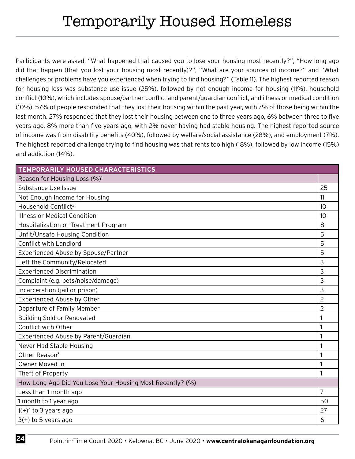Participants were asked, "What happened that caused you to lose your housing most recently?", "How long ago did that happen (that you lost your housing most recently)?", "What are your sources of income?" and "What challenges or problems have you experienced when trying to find housing?" (Table 11). The highest reported reason for housing loss was substance use issue (25%), followed by not enough income for housing (11%), household conflict (10%), which includes spouse/partner conflict and parent/guardian conflict, and illness or medical condition (10%). 57% of people responded that they lost their housing within the past year, with 7% of those being within the last month. 27% responded that they lost their housing between one to three years ago, 6% between three to five years ago, 8% more than five years ago, with 2% never having had stable housing. The highest reported source of income was from disability benefits (40%), followed by welfare/social assistance (28%), and employment (7%). The highest reported challenge trying to find housing was that rents too high (18%), followed by low income (15%) and addiction (14%).

| TEMPORARILY HOUSED CHARACTERISTICS                        |                |  |
|-----------------------------------------------------------|----------------|--|
| Reason for Housing Loss (%) <sup>1</sup>                  |                |  |
| Substance Use Issue                                       | 25             |  |
| Not Enough Income for Housing                             | 11             |  |
| Household Conflict <sup>2</sup>                           | 10             |  |
| <b>Illness or Medical Condition</b>                       | 10             |  |
| Hospitalization or Treatment Program                      | 8              |  |
| Unfit/Unsafe Housing Condition                            | 5              |  |
| <b>Conflict with Landlord</b>                             | 5              |  |
| Experienced Abuse by Spouse/Partner                       | 5              |  |
| Left the Community/Relocated                              | 3              |  |
| <b>Experienced Discrimination</b>                         | 3              |  |
| Complaint (e.g. pets/noise/damage)                        | 3              |  |
| Incarceration (jail or prison)                            | 3              |  |
| Experienced Abuse by Other                                | $\overline{c}$ |  |
| Departure of Family Member                                | 2              |  |
| <b>Building Sold or Renovated</b>                         |                |  |
| Conflict with Other                                       |                |  |
| Experienced Abuse by Parent/Guardian                      |                |  |
| Never Had Stable Housing                                  |                |  |
| Other Reason <sup>3</sup>                                 | 1              |  |
| Owner Moved In                                            |                |  |
| Theft of Property                                         |                |  |
| How Long Ago Did You Lose Your Housing Most Recently? (%) |                |  |
| Less than 1 month ago                                     | $\overline{7}$ |  |
| 1 month to 1 year ago                                     | 50             |  |
| $1(+)^4$ to 3 years ago                                   | 27             |  |
| $3(+)$ to 5 years ago                                     | 6              |  |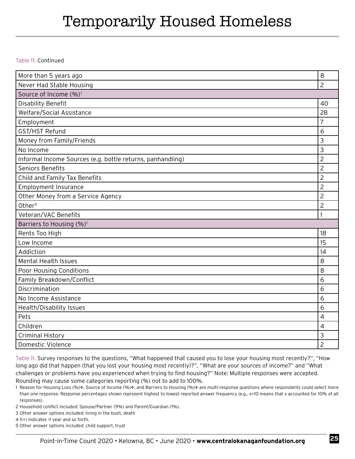### Temporarily Housed Homeless

Table 11. Continued

| More than 5 years ago                                      | 8              |  |
|------------------------------------------------------------|----------------|--|
| Never Had Stable Housing                                   | $\overline{2}$ |  |
| Source of Income (%) <sup>1</sup>                          |                |  |
| <b>Disability Benefit</b>                                  | 40             |  |
| Welfare/Social Assistance                                  | 28             |  |
| Employment                                                 | $\overline{7}$ |  |
| GST/HST Refund                                             | 6              |  |
| Money from Family/Friends                                  | 3              |  |
| No Income                                                  | 3              |  |
| Informal Income Sources (e.g. bottle returns, panhandling) | $\overline{2}$ |  |
| Seniors Benefits                                           | $\overline{c}$ |  |
| Child and Family Tax Benefits                              | $\overline{c}$ |  |
| <b>Employment Insurance</b>                                | $\overline{c}$ |  |
| Other Money from a Service Agency                          | $\overline{c}$ |  |
| Other <sup>5</sup>                                         | $\overline{c}$ |  |
| Veteran/VAC Benefits                                       | 1              |  |
| Barriers to Housing (%) <sup>1</sup>                       |                |  |
| Rents Too High                                             | 18             |  |
| Low Income                                                 | 15             |  |
|                                                            |                |  |
| Addiction                                                  | 14             |  |
| <b>Mental Health Issues</b>                                | 8              |  |
| Poor Housing Conditions                                    | 8              |  |
| Family Breakdown/Conflict                                  | 6              |  |
| Discrimination                                             | 6              |  |
| No Income Assistance                                       | 6              |  |
| Health/Disability Issues                                   | 6              |  |
| Pets                                                       | $\overline{4}$ |  |
| Children                                                   | $\overline{4}$ |  |
| <b>Criminal History</b>                                    | 3              |  |

Table 11. Survey responses to the questions, "What happened that caused you to lose your housing most recently?", "How long ago did that happen (that you lost your housing most recently)?", "What are your sources of income?" and "What challenges or problems have you experienced when trying to find housing?" Note: Multiple responses were accepted. Rounding may cause some categories reporting (%) not to add to 100%.

1 Reason for Housing Loss (%)+, Source of Income (%)+, and Barriers to Housing (%)+ are multi-response questions where respondents could select more than one response. Response percentages shown represent highest to lowest reported answer frequency (e.g., x=10 means that x accounted for 10% of all responses).

2 Household conflict included: Spouse/Partner (9%) and Parent/Guardian (1%).

3 Other answer options included: living in the bush, death

4 1(+) indicates >1 year and so forth.

5 Other answer options included: child support, trust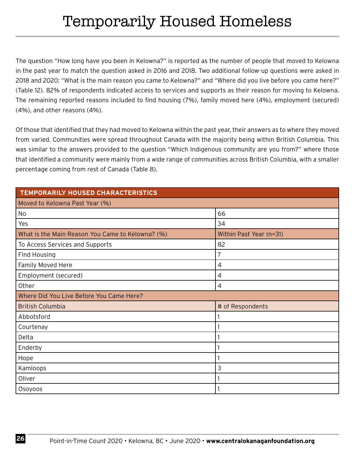The question "How long have you been in Kelowna?" is reported as the number of people that moved to Kelowna in the past year to match the question asked in 2016 and 2018. Two additional follow-up questions were asked in 2018 and 2020: "What is the main reason you came to Kelowna?" and "Where did you live before you came here?" (Table 12). 82% of respondents indicated access to services and supports as their reason for moving to Kelowna. The remaining reported reasons included to find housing (7%), family moved here (4%), employment (secured) (4%), and other reasons (4%).

Of those that identified that they had moved to Kelowna within the past year, their answers as to where they moved from varied. Communities were spread throughout Canada with the majority being within British Columbia. This was similar to the answers provided to the question "Which Indigenous community are you from?" where those that identified a community were mainly from a wide range of communities across British Columbia, with a smaller percentage coming from rest of Canada (Table 8).

| TEMPORARILY HOUSED CHARACTERISTICS               |                         |  |
|--------------------------------------------------|-------------------------|--|
| Moved to Kelowna Past Year (%)                   |                         |  |
| No                                               | 66                      |  |
| Yes                                              | 34                      |  |
| What is the Main Reason You Came to Kelowna? (%) | Within Past Year (n=31) |  |
| To Access Services and Supports                  | 82                      |  |
| Find Housing                                     | 7                       |  |
| Family Moved Here                                | $\overline{4}$          |  |
| Employment (secured)                             | 4                       |  |
| Other                                            | 4                       |  |
| Where Did You Live Before You Came Here?         |                         |  |
| <b>British Columbia</b>                          | # of Respondents        |  |
| Abbotsford                                       |                         |  |
| Courtenay                                        |                         |  |
| Delta                                            |                         |  |
| Enderby                                          |                         |  |
| Hope                                             |                         |  |
| Kamloops                                         | 3                       |  |
| Oliver                                           |                         |  |
| Osoyoos                                          |                         |  |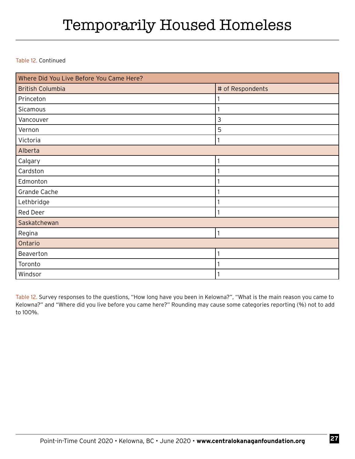### Temporarily Housed Homeless

#### Table 12. Continued

| Where Did You Live Before You Came Here? |                  |  |
|------------------------------------------|------------------|--|
| <b>British Columbia</b>                  | # of Respondents |  |
| Princeton                                |                  |  |
| Sicamous                                 |                  |  |
| Vancouver                                | 3                |  |
| Vernon                                   | 5                |  |
| Victoria                                 |                  |  |
| Alberta                                  |                  |  |
| Calgary                                  |                  |  |
| Cardston                                 |                  |  |
| Edmonton                                 |                  |  |
| Grande Cache                             |                  |  |
| Lethbridge                               |                  |  |
| Red Deer                                 |                  |  |
| Saskatchewan                             |                  |  |
| Regina                                   | 1                |  |
| Ontario                                  |                  |  |
| Beaverton                                |                  |  |
| Toronto                                  |                  |  |
| Windsor                                  |                  |  |

Table 12. Survey responses to the questions, "How long have you been in Kelowna?", "What is the main reason you came to Kelowna?" and "Where did you live before you came here?" Rounding may cause some categories reporting (%) not to add to 100%.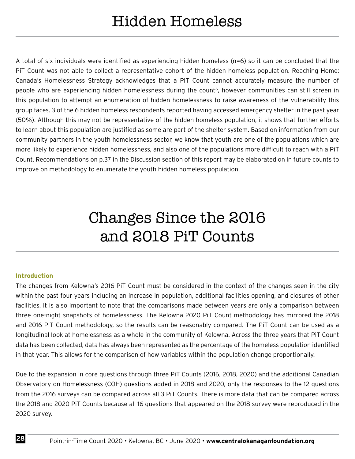A total of six individuals were identified as experiencing hidden homeless (n=6) so it can be concluded that the PiT Count was not able to collect a representative cohort of the hidden homeless population. Reaching Home: Canada's Homelessness Strategy acknowledges that a PiT Count cannot accurately measure the number of people who are experiencing hidden homelessness during the count<sup>6</sup>, however communities can still screen in this population to attempt an enumeration of hidden homelessness to raise awareness of the vulnerability this group faces. 3 of the 6 hidden homeless respondents reported having accessed emergency shelter in the past year (50%). Although this may not be representative of the hidden homeless population, it shows that further efforts to learn about this population are justified as some are part of the shelter system. Based on information from our community partners in the youth homelessness sector, we know that youth are one of the populations which are more likely to experience hidden homelessness, and also one of the populations more difficult to reach with a PiT Count. Recommendations on p.37 in the Discussion section of this report may be elaborated on in future counts to improve on methodology to enumerate the youth hidden homeless population.

### Changes Since the 2016 and 2018 PiT Counts

#### **Introduction**

The changes from Kelowna's 2016 PiT Count must be considered in the context of the changes seen in the city within the past four years including an increase in population, additional facilities opening, and closures of other facilities. It is also important to note that the comparisons made between years are only a comparison between three one-night snapshots of homelessness. The Kelowna 2020 PiT Count methodology has mirrored the 2018 and 2016 PiT Count methodology, so the results can be reasonably compared. The PiT Count can be used as a longitudinal look at homelessness as a whole in the community of Kelowna. Across the three years that PiT Count data has been collected, data has always been represented as the percentage of the homeless population identified in that year. This allows for the comparison of how variables within the population change proportionally.

Due to the expansion in core questions through three PiT Counts (2016, 2018, 2020) and the additional Canadian Observatory on Homelessness (COH) questions added in 2018 and 2020, only the responses to the 12 questions from the 2016 surveys can be compared across all 3 PiT Counts. There is more data that can be compared across the 2018 and 2020 PiT Counts because all 16 questions that appeared on the 2018 survey were reproduced in the 2020 survey.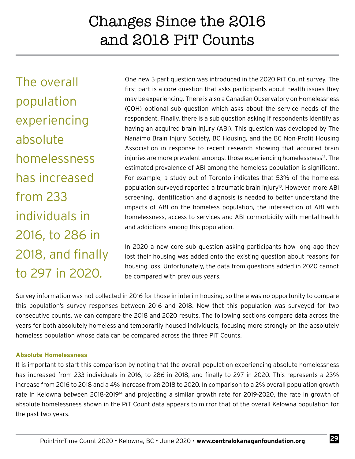The overall population experiencing absolute homelessness has increased from 233 individuals in 2016, to 286 in 2018, and finally to 297 in 2020.

One new 3-part question was introduced in the 2020 PiT Count survey. The first part is a core question that asks participants about health issues they may be experiencing. There is also a Canadian Observatory on Homelessness (COH) optional sub question which asks about the service needs of the respondent. Finally, there is a sub question asking if respondents identify as having an acquired brain injury (ABI). This question was developed by The Nanaimo Brain Injury Society, BC Housing, and the BC Non-Profit Housing Association in response to recent research showing that acquired brain injuries are more prevalent amongst those experiencing homelessness<sup>12</sup>. The estimated prevalence of ABI among the homeless population is significant. For example, a study out of Toronto indicates that 53% of the homeless population surveyed reported a traumatic brain injury<sup>13</sup>. However, more ABI screening, identification and diagnosis is needed to better understand the impacts of ABI on the homeless population, the intersection of ABI with homelessness, access to services and ABI co-morbidity with mental health and addictions among this population.

In 2020 a new core sub question asking participants how long ago they lost their housing was added onto the existing question about reasons for housing loss. Unfortunately, the data from questions added in 2020 cannot be compared with previous years.

Survey information was not collected in 2016 for those in interim housing, so there was no opportunity to compare this population's survey responses between 2016 and 2018. Now that this population was surveyed for two consecutive counts, we can compare the 2018 and 2020 results. The following sections compare data across the years for both absolutely homeless and temporarily housed individuals, focusing more strongly on the absolutely homeless population whose data can be compared across the three PiT Counts.

#### **Absolute Homelessness**

It is important to start this comparison by noting that the overall population experiencing absolute homelessness has increased from 233 individuals in 2016, to 286 in 2018, and finally to 297 in 2020. This represents a 23% increase from 2016 to 2018 and a 4% increase from 2018 to 2020. In comparison to a 2% overall population growth rate in Kelowna between 2018-2019<sup>14</sup> and projecting a similar growth rate for 2019-2020, the rate in growth of absolute homelessness shown in the PiT Count data appears to mirror that of the overall Kelowna population for the past two years.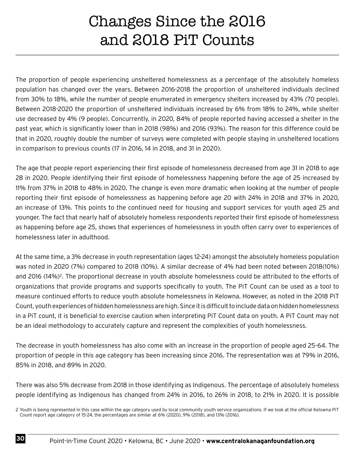The proportion of people experiencing unsheltered homelessness as a percentage of the absolutely homeless population has changed over the years. Between 2016-2018 the proportion of unsheltered individuals declined from 30% to 18%, while the number of people enumerated in emergency shelters increased by 43% (70 people). Between 2018-2020 the proportion of unsheltered individuals increased by 6% from 18% to 24%, while shelter use decreased by 4% (9 people). Concurrently, in 2020, 84% of people reported having accessed a shelter in the past year, which is significantly lower than in 2018 (98%) and 2016 (93%). The reason for this difference could be that in 2020, roughly double the number of surveys were completed with people staying in unsheltered locations in comparison to previous counts (17 in 2016, 14 in 2018, and 31 in 2020).

The age that people report experiencing their first episode of homelessness decreased from age 31 in 2018 to age 28 in 2020. People identifying their first episode of homelessness happening before the age of 25 increased by 11% from 37% in 2018 to 48% in 2020. The change is even more dramatic when looking at the number of people reporting their first episode of homelessness as happening before age 20 with 24% in 2018 and 37% in 2020, an increase of 13%. This points to the continued need for housing and support services for youth aged 25 and younger. The fact that nearly half of absolutely homeless respondents reported their first episode of homelessness as happening before age 25, shows that experiences of homelessness in youth often carry over to experiences of homelessness later in adulthood.

At the same time, a 3% decrease in youth representation (ages 12-24) amongst the absolutely homeless population was noted in 2020 (7%) compared to 2018 (10%). A similar decrease of 4% had been noted between 2018(10%) and 2016 (14%)<sup>2</sup>. The proportional decrease in youth absolute homelessness could be attributed to the efforts of organizations that provide programs and supports specifically to youth. The PiT Count can be used as a tool to measure continued efforts to reduce youth absolute homelessness in Kelowna. However, as noted in the 2018 PiT Count, youth experiences of hidden homelessness are high. Since it is difficult to include data on hidden homelessness in a PiT count, it is beneficial to exercise caution when interpreting PiT Count data on youth. A PiT Count may not be an ideal methodology to accurately capture and represent the complexities of youth homelessness.

The decrease in youth homelessness has also come with an increase in the proportion of people aged 25-64. The proportion of people in this age category has been increasing since 2016. The representation was at 79% in 2016, 85% in 2018, and 89% in 2020.

There was also 5% decrease from 2018 in those identifying as Indigenous. The percentage of absolutely homeless people identifying as Indigenous has changed from 24% in 2016, to 26% in 2018, to 21% in 2020. It is possible

<sup>2</sup> Youth is being represented in this case within the age category used by local community youth service organizations. If we look at the official Kelowna PiT Count report age category of 15-24, the percentages are similar at 6% (2020), 9% (2018), and 13% (2016).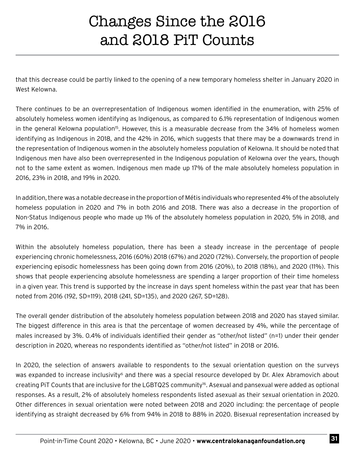that this decrease could be partly linked to the opening of a new temporary homeless shelter in January 2020 in West Kelowna.

There continues to be an overrepresentation of Indigenous women identified in the enumeration, with 25% of absolutely homeless women identifying as Indigenous, as compared to 6.1% representation of Indigenous women in the general Kelowna population<sup>15</sup>. However, this is a measurable decrease from the 34% of homeless women identifying as Indigenous in 2018, and the 42% in 2016, which suggests that there may be a downwards trend in the representation of Indigenous women in the absolutely homeless population of Kelowna. It should be noted that Indigenous men have also been overrepresented in the Indigenous population of Kelowna over the years, though not to the same extent as women. Indigenous men made up 17% of the male absolutely homeless population in 2016, 23% in 2018, and 19% in 2020.

In addition, there was a notable decrease in the proportion of Métis individuals who represented 4% of the absolutely homeless population in 2020 and 7% in both 2016 and 2018. There was also a decrease in the proportion of Non-Status Indigenous people who made up 1% of the absolutely homeless population in 2020, 5% in 2018, and 7% in 2016.

Within the absolutely homeless population, there has been a steady increase in the percentage of people experiencing chronic homelessness, 2016 (60%) 2018 (67%) and 2020 (72%). Conversely, the proportion of people experiencing episodic homelessness has been going down from 2016 (20%), to 2018 (18%), and 2020 (11%). This shows that people experiencing absolute homelessness are spending a larger proportion of their time homeless in a given year. This trend is supported by the increase in days spent homeless within the past year that has been noted from 2016 (192, SD=119), 2018 (241, SD=135), and 2020 (267, SD=128).

The overall gender distribution of the absolutely homeless population between 2018 and 2020 has stayed similar. The biggest difference in this area is that the percentage of women decreased by 4%, while the percentage of males increased by 3%. 0.4% of individuals identified their gender as "other/not listed" (n=1) under their gender description in 2020, whereas no respondents identified as "other/not listed" in 2018 or 2016.

In 2020, the selection of answers available to respondents to the sexual orientation question on the surveys was expanded to increase inclusivity<sup>6</sup> and there was a special resource developed by Dr. Alex Abramovich about creating PiT Counts that are inclusive for the LGBTQ2S community16. Asexual and pansexual were added as optional responses. As a result, 2% of absolutely homeless respondents listed asexual as their sexual orientation in 2020. Other differences in sexual orientation were noted between 2018 and 2020 including: the percentage of people identifying as straight decreased by 6% from 94% in 2018 to 88% in 2020. Bisexual representation increased by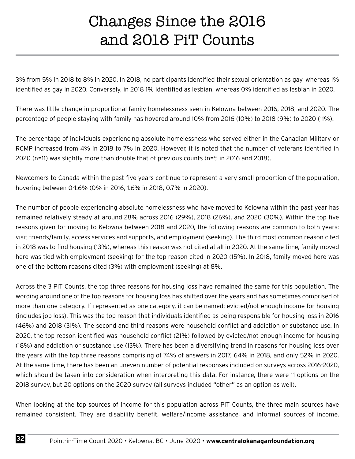3% from 5% in 2018 to 8% in 2020. In 2018, no participants identified their sexual orientation as gay, whereas 1% identified as gay in 2020. Conversely, in 2018 1% identified as lesbian, whereas 0% identified as lesbian in 2020.

There was little change in proportional family homelessness seen in Kelowna between 2016, 2018, and 2020. The percentage of people staying with family has hovered around 10% from 2016 (10%) to 2018 (9%) to 2020 (11%).

The percentage of individuals experiencing absolute homelessness who served either in the Canadian Military or RCMP increased from 4% in 2018 to 7% in 2020. However, it is noted that the number of veterans identified in 2020 (n=11) was slightly more than double that of previous counts (n=5 in 2016 and 2018).

Newcomers to Canada within the past five years continue to represent a very small proportion of the population, hovering between 0-1.6% (0% in 2016, 1.6% in 2018, 0.7% in 2020).

The number of people experiencing absolute homelessness who have moved to Kelowna within the past year has remained relatively steady at around 28% across 2016 (29%), 2018 (26%), and 2020 (30%). Within the top five reasons given for moving to Kelowna between 2018 and 2020, the following reasons are common to both years: visit friends/family, access services and supports, and employment (seeking). The third most common reason cited in 2018 was to find housing (13%), whereas this reason was not cited at all in 2020. At the same time, family moved here was tied with employment (seeking) for the top reason cited in 2020 (15%). In 2018, family moved here was one of the bottom reasons cited (3%) with employment (seeking) at 8%.

Across the 3 PiT Counts, the top three reasons for housing loss have remained the same for this population. The wording around one of the top reasons for housing loss has shifted over the years and has sometimes comprised of more than one category. If represented as one category, it can be named: evicted/not enough income for housing (includes job loss). This was the top reason that individuals identified as being responsible for housing loss in 2016 (46%) and 2018 (31%). The second and third reasons were household conflict and addiction or substance use. In 2020, the top reason identified was household conflict (21%) followed by evicted/not enough income for housing (18%) and addiction or substance use (13%). There has been a diversifying trend in reasons for housing loss over the years with the top three reasons comprising of 74% of answers in 2017, 64% in 2018, and only 52% in 2020. At the same time, there has been an uneven number of potential responses included on surveys across 2016-2020, which should be taken into consideration when interpreting this data. For instance, there were 11 options on the 2018 survey, but 20 options on the 2020 survey (all surveys included "other" as an option as well).

When looking at the top sources of income for this population across PiT Counts, the three main sources have remained consistent. They are disability benefit, welfare/income assistance, and informal sources of income.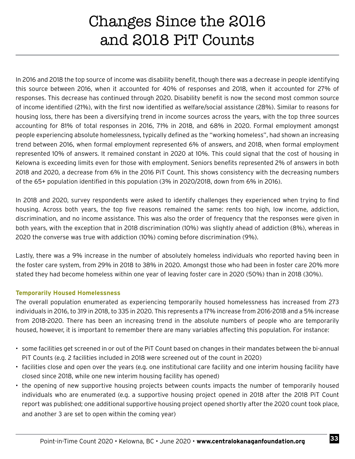In 2016 and 2018 the top source of income was disability benefit, though there was a decrease in people identifying this source between 2016, when it accounted for 40% of responses and 2018, when it accounted for 27% of responses. This decrease has continued through 2020. Disability benefit is now the second most common source of income identified (21%), with the first now identified as welfare/social assistance (28%). Similar to reasons for housing loss, there has been a diversifying trend in income sources across the years, with the top three sources accounting for 81% of total responses in 2016, 71% in 2018, and 68% in 2020. Formal employment amongst people experiencing absolute homelessness, typically defined as the "working homeless", had shown an increasing trend between 2016, when formal employment represented 6% of answers, and 2018, when formal employment represented 10% of answers. It remained constant in 2020 at 10%. This could signal that the cost of housing in Kelowna is exceeding limits even for those with employment. Seniors benefits represented 2% of answers in both 2018 and 2020, a decrease from 6% in the 2016 PiT Count. This shows consistency with the decreasing numbers of the 65+ population identified in this population (3% in 2020/2018, down from 6% in 2016).

In 2018 and 2020, survey respondents were asked to identify challenges they experienced when trying to find housing. Across both years, the top five reasons remained the same: rents too high, low income, addiction, discrimination, and no income assistance. This was also the order of frequency that the responses were given in both years, with the exception that in 2018 discrimination (10%) was slightly ahead of addiction (8%), whereas in 2020 the converse was true with addiction (10%) coming before discrimination (9%).

Lastly, there was a 9% increase in the number of absolutely homeless individuals who reported having been in the foster care system, from 29% in 2018 to 38% in 2020. Amongst those who had been in foster care 20% more stated they had become homeless within one year of leaving foster care in 2020 (50%) than in 2018 (30%).

#### **Temporarily Housed Homelessness**

The overall population enumerated as experiencing temporarily housed homelessness has increased from 273 individuals in 2016, to 319 in 2018, to 335 in 2020. This represents a 17% increase from 2016-2018 and a 5% increase from 2018-2020. There has been an increasing trend in the absolute numbers of people who are temporarily housed, however, it is important to remember there are many variables affecting this population. For instance:

- some facilities get screened in or out of the PiT Count based on changes in their mandates between the bi-annual PiT Counts (e.g. 2 facilities included in 2018 were screened out of the count in 2020)
- facilities close and open over the years (e.g. one institutional care facility and one interim housing facility have closed since 2018, while one new interim housing facility has opened)
- the opening of new supportive housing projects between counts impacts the number of temporarily housed individuals who are enumerated (e.g. a supportive housing project opened in 2018 after the 2018 PiT Count report was published; one additional supportive housing project opened shortly after the 2020 count took place, and another 3 are set to open within the coming year)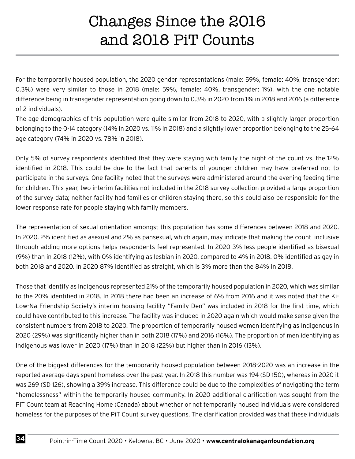For the temporarily housed population, the 2020 gender representations (male: 59%, female: 40%, transgender: 0.3%) were very similar to those in 2018 (male: 59%, female: 40%, transgender: 1%), with the one notable difference being in transgender representation going down to 0.3% in 2020 from 1% in 2018 and 2016 (a difference of 2 individuals).

The age demographics of this population were quite similar from 2018 to 2020, with a slightly larger proportion belonging to the 0-14 category (14% in 2020 vs. 11% in 2018) and a slightly lower proportion belonging to the 25-64 age category (74% in 2020 vs. 78% in 2018).

Only 5% of survey respondents identified that they were staying with family the night of the count vs. the 12% identified in 2018. This could be due to the fact that parents of younger children may have preferred not to participate in the surveys. One facility noted that the surveys were administered around the evening feeding time for children. This year, two interim facilities not included in the 2018 survey collection provided a large proportion of the survey data; neither facility had families or children staying there, so this could also be responsible for the lower response rate for people staying with family members.

The representation of sexual orientation amongst this population has some differences between 2018 and 2020. In 2020, 2% identified as asexual and 2% as pansexual, which again, may indicate that making the count inclusive through adding more options helps respondents feel represented. In 2020 3% less people identified as bisexual (9%) than in 2018 (12%), with 0% identifying as lesbian in 2020, compared to 4% in 2018. 0% identified as gay in both 2018 and 2020. In 2020 87% identified as straight, which is 3% more than the 84% in 2018.

Those that identify as Indigenous represented 21% of the temporarily housed population in 2020, which was similar to the 20% identified in 2018. In 2018 there had been an increase of 6% from 2016 and it was noted that the Ki-Low-Na Friendship Society's interim housing facility "Family Den" was included in 2018 for the first time, which could have contributed to this increase. The facility was included in 2020 again which would make sense given the consistent numbers from 2018 to 2020. The proportion of temporarily housed women identifying as Indigenous in 2020 (29%) was significantly higher than in both 2018 (17%) and 2016 (16%). The proportion of men identifying as Indigenous was lower in 2020 (17%) than in 2018 (22%) but higher than in 2016 (13%).

One of the biggest differences for the temporarily housed population between 2018-2020 was an increase in the reported average days spent homeless over the past year. In 2018 this number was 194 (SD 150), whereas in 2020 it was 269 (SD 126), showing a 39% increase. This difference could be due to the complexities of navigating the term "homelessness" within the temporarily housed community. In 2020 additional clarification was sought from the PiT Count team at Reaching Home (Canada) about whether or not temporarily housed individuals were considered homeless for the purposes of the PiT Count survey questions. The clarification provided was that these individuals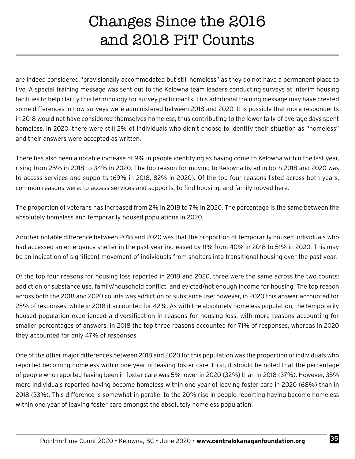are indeed considered "provisionally accommodated but still homeless" as they do not have a permanent place to live. A special training message was sent out to the Kelowna team leaders conducting surveys at interim housing facilities to help clarify this terminology for survey participants. This additional training message may have created some differences in how surveys were administered between 2018 and 2020. It is possible that more respondents in 2018 would not have considered themselves homeless, thus contributing to the lower tally of average days spent homeless. In 2020, there were still 2% of individuals who didn't choose to identify their situation as "homeless" and their answers were accepted as written.

There has also been a notable increase of 9% in people identifying as having come to Kelowna within the last year, rising from 25% in 2018 to 34% in 2020. The top reason for moving to Kelowna listed in both 2018 and 2020 was to access services and supports (69% in 2018, 82% in 2020). Of the top four reasons listed across both years, common reasons were: to access services and supports, to find housing, and family moved here.

The proportion of veterans has increased from 2% in 2018 to 7% in 2020. The percentage is the same between the absolutely homeless and temporarily housed populations in 2020.

Another notable difference between 2018 and 2020 was that the proportion of temporarily housed individuals who had accessed an emergency shelter in the past year increased by 11% from 40% in 2018 to 51% in 2020. This may be an indication of significant movement of individuals from shelters into transitional housing over the past year.

Of the top four reasons for housing loss reported in 2018 and 2020, three were the same across the two counts: addiction or substance use, family/household conflict, and evicted/not enough income for housing. The top reason across both the 2018 and 2020 counts was addiction or substance use; however, in 2020 this answer accounted for 25% of responses, while in 2018 it accounted for 42%. As with the absolutely homeless population, the temporarily housed population experienced a diversification in reasons for housing loss, with more reasons accounting for smaller percentages of answers. In 2018 the top three reasons accounted for 71% of responses, whereas in 2020 they accounted for only 47% of responses.

One of the other major differences between 2018 and 2020 for this population was the proportion of individuals who reported becoming homeless within one year of leaving foster care. First, it should be noted that the percentage of people who reported having been in foster care was 5% lower in 2020 (32%) than in 2018 (37%). However, 35% more individuals reported having become homeless within one year of leaving foster care in 2020 (68%) than in 2018 (33%). This difference is somewhat in parallel to the 20% rise in people reporting having become homeless within one year of leaving foster care amongst the absolutely homeless population.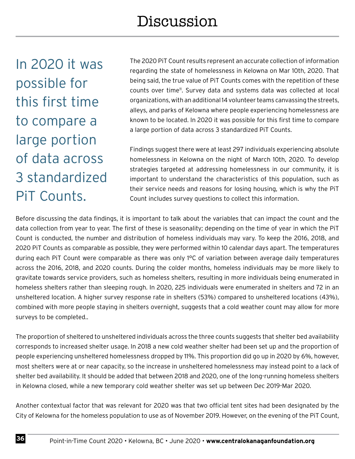In 2020 it was possible for this first time to compare a large portion of data across 3 standardized PiT Counts.

The 2020 PiT Count results represent an accurate collection of information regarding the state of homelessness in Kelowna on Mar 10th, 2020. That being said, the true value of PiT Counts comes with the repetition of these counts over time<sup>11</sup>. Survey data and systems data was collected at local organizations, with an additional 14 volunteer teams canvassing the streets, alleys, and parks of Kelowna where people experiencing homelessness are known to be located. In 2020 it was possible for this first time to compare a large portion of data across 3 standardized PiT Counts.

Findings suggest there were at least 297 individuals experiencing absolute homelessness in Kelowna on the night of March 10th, 2020. To develop strategies targeted at addressing homelessness in our community, it is important to understand the characteristics of this population, such as their service needs and reasons for losing housing, which is why the PiT Count includes survey questions to collect this information.

Before discussing the data findings, it is important to talk about the variables that can impact the count and the data collection from year to year. The first of these is seasonality; depending on the time of year in which the PiT Count is conducted, the number and distribution of homeless individuals may vary. To keep the 2016, 2018, and 2020 PiT Counts as comparable as possible, they were performed within 10 calendar days apart. The temperatures during each PiT Count were comparable as there was only 1°C of variation between average daily temperatures across the 2016, 2018, and 2020 counts. During the colder months, homeless individuals may be more likely to gravitate towards service providers, such as homeless shelters, resulting in more individuals being enumerated in homeless shelters rather than sleeping rough. In 2020, 225 individuals were enumerated in shelters and 72 in an unsheltered location. A higher survey response rate in shelters (53%) compared to unsheltered locations (43%), combined with more people staying in shelters overnight, suggests that a cold weather count may allow for more surveys to be completed..

The proportion of sheltered to unsheltered individuals across the three counts suggests that shelter bed availability corresponds to increased shelter usage. In 2018 a new cold weather shelter had been set up and the proportion of people experiencing unsheltered homelessness dropped by 11%. This proportion did go up in 2020 by 6%, however, most shelters were at or near capacity, so the increase in unsheltered homelessness may instead point to a lack of shelter bed availability. It should be added that between 2018 and 2020, one of the long-running homeless shelters in Kelowna closed, while a new temporary cold weather shelter was set up between Dec 2019-Mar 2020.

Another contextual factor that was relevant for 2020 was that two official tent sites had been designated by the City of Kelowna for the homeless population to use as of November 2019. However, on the evening of the PiT Count,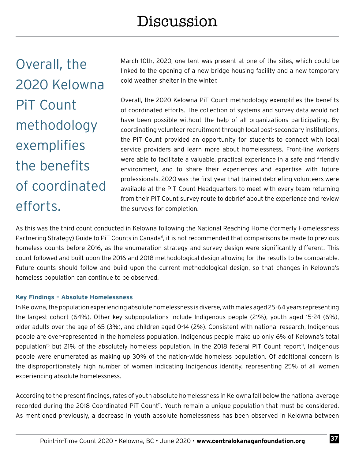Overall, the 2020 Kelowna PiT Count methodology exemplifies the benefits of coordinated efforts.

March 10th, 2020, one tent was present at one of the sites, which could be linked to the opening of a new bridge housing facility and a new temporary cold weather shelter in the winter.

Overall, the 2020 Kelowna PiT Count methodology exemplifies the benefits of coordinated efforts. The collection of systems and survey data would not have been possible without the help of all organizations participating. By coordinating volunteer recruitment through local post-secondary institutions, the PiT Count provided an opportunity for students to connect with local service providers and learn more about homelessness. Front-line workers were able to facilitate a valuable, practical experience in a safe and friendly environment, and to share their experiences and expertise with future professionals. 2020 was the first year that trained debriefing volunteers were available at the PiT Count Headquarters to meet with every team returning from their PiT Count survey route to debrief about the experience and review the surveys for completion.

As this was the third count conducted in Kelowna following the National Reaching Home (formerly Homelessness Partnering Strategy) Guide to PiT Counts in Canada<sup>6</sup>, it is not recommended that comparisons be made to previous homeless counts before 2016, as the enumeration strategy and survey design were significantly different. This count followed and built upon the 2016 and 2018 methodological design allowing for the results to be comparable. Future counts should follow and build upon the current methodological design, so that changes in Kelowna's homeless population can continue to be observed.

#### **Key Findings – Absolute Homelessness**

In Kelowna, the population experiencing absolute homelessness is diverse, with males aged 25-64 years representing the largest cohort (64%). Other key subpopulations include Indigenous people (21%), youth aged 15-24 (6%), older adults over the age of 65 (3%), and children aged 0-14 (2%). Consistent with national research, Indigenous people are over-represented in the homeless population. Indigenous people make up only 6% of Kelowna's total population<sup>15</sup> but 21% of the absolutely homeless population. In the 2018 federal PiT Count report<sup>11</sup>, Indigenous people were enumerated as making up 30% of the nation-wide homeless population. Of additional concern is the disproportionately high number of women indicating Indigenous identity, representing 25% of all women experiencing absolute homelessness.

According to the present findings, rates of youth absolute homelessness in Kelowna fall below the national average recorded during the 2018 Coordinated PiT Count<sup>11</sup>. Youth remain a unique population that must be considered. As mentioned previously, a decrease in youth absolute homelessness has been observed in Kelowna between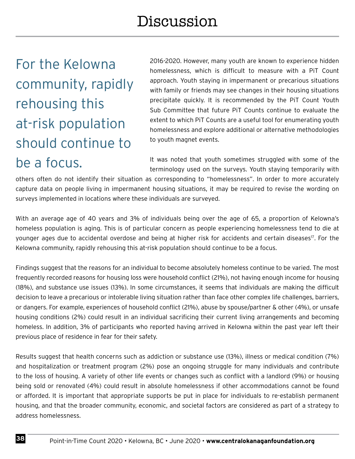For the Kelowna community, rapidly rehousing this at-risk population should continue to be a focus.

2016-2020. However, many youth are known to experience hidden homelessness, which is difficult to measure with a PiT Count approach. Youth staying in impermanent or precarious situations with family or friends may see changes in their housing situations precipitate quickly. It is recommended by the PiT Count Youth Sub Committee that future PiT Counts continue to evaluate the extent to which PiT Counts are a useful tool for enumerating youth homelessness and explore additional or alternative methodologies to youth magnet events.

It was noted that youth sometimes struggled with some of the terminology used on the surveys. Youth staying temporarily with

others often do not identify their situation as corresponding to "homelessness". In order to more accurately capture data on people living in impermanent housing situations, it may be required to revise the wording on surveys implemented in locations where these individuals are surveyed.

With an average age of 40 years and 3% of individuals being over the age of 65, a proportion of Kelowna's homeless population is aging. This is of particular concern as people experiencing homelessness tend to die at younger ages due to accidental overdose and being at higher risk for accidents and certain diseases<sup>17</sup>. For the Kelowna community, rapidly rehousing this at-risk population should continue to be a focus.

Findings suggest that the reasons for an individual to become absolutely homeless continue to be varied. The most frequently recorded reasons for housing loss were household conflict (21%), not having enough income for housing (18%), and substance use issues (13%). In some circumstances, it seems that individuals are making the difficult decision to leave a precarious or intolerable living situation rather than face other complex life challenges, barriers, or dangers. For example, experiences of household conflict (21%), abuse by spouse/partner & other (4%), or unsafe housing conditions (2%) could result in an individual sacrificing their current living arrangements and becoming homeless. In addition, 3% of participants who reported having arrived in Kelowna within the past year left their previous place of residence in fear for their safety.

Results suggest that health concerns such as addiction or substance use (13%), illness or medical condition (7%) and hospitalization or treatment program (2%) pose an ongoing struggle for many individuals and contribute to the loss of housing. A variety of other life events or changes such as conflict with a landlord (9%) or housing being sold or renovated (4%) could result in absolute homelessness if other accommodations cannot be found or afforded. It is important that appropriate supports be put in place for individuals to re-establish permanent housing, and that the broader community, economic, and societal factors are considered as part of a strategy to address homelessness.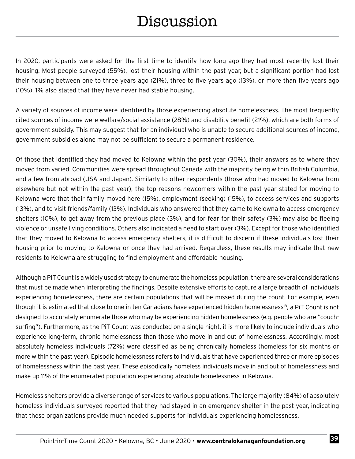In 2020, participants were asked for the first time to identify how long ago they had most recently lost their housing. Most people surveyed (55%), lost their housing within the past year, but a significant portion had lost their housing between one to three years ago (21%), three to five years ago (13%), or more than five years ago (10%). 1% also stated that they have never had stable housing.

A variety of sources of income were identified by those experiencing absolute homelessness. The most frequently cited sources of income were welfare/social assistance (28%) and disability benefit (21%), which are both forms of government subsidy. This may suggest that for an individual who is unable to secure additional sources of income, government subsidies alone may not be sufficient to secure a permanent residence.

Of those that identified they had moved to Kelowna within the past year (30%), their answers as to where they moved from varied. Communities were spread throughout Canada with the majority being within British Columbia, and a few from abroad (USA and Japan). Similarly to other respondents (those who had moved to Kelowna from elsewhere but not within the past year), the top reasons newcomers within the past year stated for moving to Kelowna were that their family moved here (15%), employment (seeking) (15%), to access services and supports (13%), and to visit friends/family (13%). Individuals who answered that they came to Kelowna to access emergency shelters (10%), to get away from the previous place (3%), and for fear for their safety (3%) may also be fleeing violence or unsafe living conditions. Others also indicated a need to start over (3%). Except for those who identified that they moved to Kelowna to access emergency shelters, it is difficult to discern if these individuals lost their housing prior to moving to Kelowna or once they had arrived. Regardless, these results may indicate that new residents to Kelowna are struggling to find employment and affordable housing.

Although a PiT Count is a widely used strategy to enumerate the homeless population, there are several considerations that must be made when interpreting the findings. Despite extensive efforts to capture a large breadth of individuals experiencing homelessness, there are certain populations that will be missed during the count. For example, even though it is estimated that close to one in ten Canadians have experienced hidden homelessness<sup>18</sup>, a PiT Count is not designed to accurately enumerate those who may be experiencing hidden homelessness (e.g. people who are "couchsurfing"). Furthermore, as the PiT Count was conducted on a single night, it is more likely to include individuals who experience long-term, chronic homelessness than those who move in and out of homelessness. Accordingly, most absolutely homeless individuals (72%) were classified as being chronically homeless (homeless for six months or more within the past year). Episodic homelessness refers to individuals that have experienced three or more episodes of homelessness within the past year. These episodically homeless individuals move in and out of homelessness and make up 11% of the enumerated population experiencing absolute homelessness in Kelowna.

Homeless shelters provide a diverse range of services to various populations. The large majority (84%) of absolutely homeless individuals surveyed reported that they had stayed in an emergency shelter in the past year, indicating that these organizations provide much needed supports for individuals experiencing homelessness.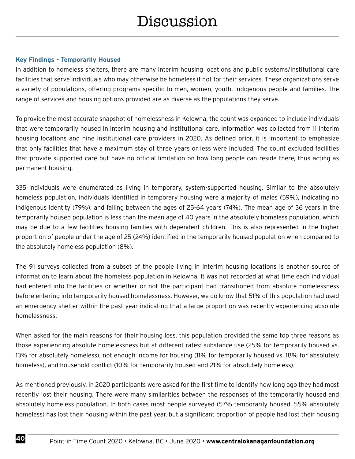#### **Key Findings - Temporarily Housed**

In addition to homeless shelters, there are many interim housing locations and public systems/institutional care facilities that serve individuals who may otherwise be homeless if not for their services. These organizations serve a variety of populations, offering programs specific to men, women, youth, Indigenous people and families. The range of services and housing options provided are as diverse as the populations they serve.

To provide the most accurate snapshot of homelessness in Kelowna, the count was expanded to include individuals that were temporarily housed in interim housing and institutional care. Information was collected from 11 interim housing locations and nine institutional care providers in 2020. As defined prior, it is important to emphasize that only facilities that have a maximum stay of three years or less were included. The count excluded facilities that provide supported care but have no official limitation on how long people can reside there, thus acting as permanent housing.

335 individuals were enumerated as living in temporary, system-supported housing. Similar to the absolutely homeless population, individuals identified in temporary housing were a majority of males (59%), indicating no Indigenous identity (79%), and falling between the ages of 25-64 years (74%). The mean age of 36 years in the temporarily housed population is less than the mean age of 40 years in the absolutely homeless population, which may be due to a few facilities housing families with dependent children. This is also represented in the higher proportion of people under the age of 25 (24%) identified in the temporarily housed population when compared to the absolutely homeless population (8%).

The 91 surveys collected from a subset of the people living in interim housing locations is another source of information to learn about the homeless population in Kelowna. It was not recorded at what time each individual had entered into the facilities or whether or not the participant had transitioned from absolute homelessness before entering into temporarily housed homelessness. However, we do know that 51% of this population had used an emergency shelter within the past year indicating that a large proportion was recently experiencing absolute homelessness.

When asked for the main reasons for their housing loss, this population provided the same top three reasons as those experiencing absolute homelessness but at different rates: substance use (25% for temporarily housed vs. 13% for absolutely homeless), not enough income for housing (11% for temporarily housed vs. 18% for absolutely homeless), and household conflict (10% for temporarily housed and 21% for absolutely homeless).

As mentioned previously, in 2020 participants were asked for the first time to identify how long ago they had most recently lost their housing. There were many similarities between the responses of the temporarily housed and absolutely homeless population. In both cases most people surveyed (57% temporarily housed, 55% absolutely homeless) has lost their housing within the past year, but a significant proportion of people had lost their housing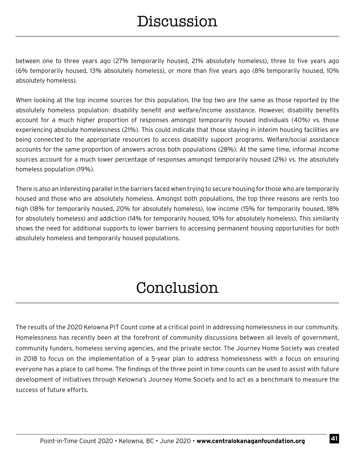between one to three years ago (27% temporarily housed, 21% absolutely homeless), three to five years ago (6% temporarily housed, 13% absolutely homeless), or more than five years ago (8% temporarily housed, 10% absolutely homeless).

When looking at the top income sources for this population, the top two are the same as those reported by the absolutely homeless population: disability benefit and welfare/income assistance. However, disability benefits account for a much higher proportion of responses amongst temporarily housed individuals (40%) vs. those experiencing absolute homelessness (21%). This could indicate that those staying in interim housing facilities are being connected to the appropriate resources to access disability support programs. Welfare/social assistance accounts for the same proportion of answers across both populations (28%). At the same time, informal income sources account for a much lower percentage of responses amongst temporarily housed (2%) vs. the absolutely homeless population (19%).

There is also an interesting parallel in the barriers faced when trying to secure housing for those who are temporarily housed and those who are absolutely homeless. Amongst both populations, the top three reasons are rents too high (18% for temporarily housed, 20% for absolutely homeless), low income (15% for temporarily housed, 18% for absolutely homeless) and addiction (14% for temporarily housed, 10% for absolutely homeless). This similarity shows the need for additional supports to lower barriers to accessing permanent housing opportunities for both absolutely homeless and temporarily housed populations.

### Conclusion

The results of the 2020 Kelowna PiT Count come at a critical point in addressing homelessness in our community. Homelessness has recently been at the forefront of community discussions between all levels of government, community funders, homeless serving agencies, and the private sector. The Journey Home Society was created in 2018 to focus on the implementation of a 5-year plan to address homelessness with a focus on ensuring everyone has a place to call home. The findings of the three point in time counts can be used to assist with future development of initiatives through Kelowna's Journey Home Society and to act as a benchmark to measure the success of future efforts.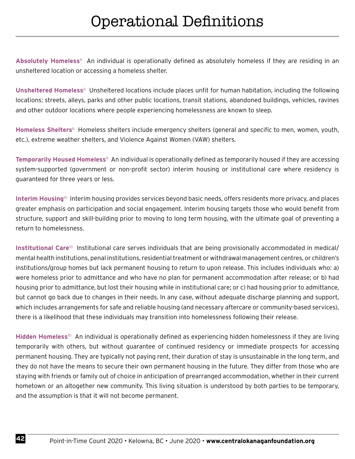**Absolutely Homeless**6 An individual is operationally defined as absolutely homeless if they are residing in an unsheltered location or accessing a homeless shelter.

**Unsheltered Homeless**6 Unsheltered locations include places unfit for human habitation, including the following locations: streets, alleys, parks and other public locations, transit stations, abandoned buildings, vehicles, ravines and other outdoor locations where people experiencing homelessness are known to sleep.

**Homeless Shelters**6 Homeless shelters include emergency shelters (general and specific to men, women, youth, etc.), extreme weather shelters, and Violence Against Women (VAW) shelters.

**Temporarily Housed Homeless**<sup>9</sup> An individual is operationally defined as temporarily housed if they are accessing system-supported (government or non-profit sector) interim housing or institutional care where residency is guaranteed for three years or less.

**Interim Housing**10 Interim housing provides services beyond basic needs, offers residents more privacy, and places greater emphasis on participation and social engagement. Interim housing targets those who would benefit from structure, support and skill-building prior to moving to long term housing, with the ultimate goal of preventing a return to homelessness.

Institutional Care<sup>10</sup> Institutional care serves individuals that are being provisionally accommodated in medical/ mental health institutions, penal institutions, residential treatment or withdrawal management centres, or children's institutions/group homes but lack permanent housing to return to upon release. This includes individuals who: a) were homeless prior to admittance and who have no plan for permanent accommodation after release; or b) had housing prior to admittance, but lost their housing while in institutional care; or c) had housing prior to admittance, but cannot go back due to changes in their needs. In any case, without adequate discharge planning and support, which includes arrangements for safe and reliable housing (and necessary aftercare or community-based services), there is a likelihood that these individuals may transition into homelessness following their release.

**Hidden Homeless**10 An individual is operationally defined as experiencing hidden homelessness if they are living temporarily with others, but without guarantee of continued residency or immediate prospects for accessing permanent housing. They are typically not paying rent, their duration of stay is unsustainable in the long term, and they do not have the means to secure their own permanent housing in the future. They differ from those who are staying with friends or family out of choice in anticipation of prearranged accommodation, whether in their current hometown or an altogether new community. This living situation is understood by both parties to be temporary, and the assumption is that it will not become permanent.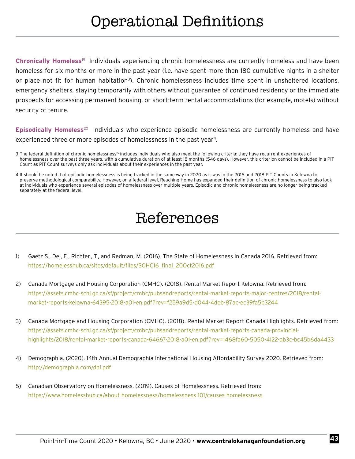### Operational Definitions

**Chronically Homeless**19 Individuals experiencing chronic homelessness are currently homeless and have been homeless for six months or more in the past year (i.e. have spent more than 180 cumulative nights in a shelter or place not fit for human habitation<sup>3</sup>). Chronic homelessness includes time spent in unsheltered locations, emergency shelters, staying temporarily with others without guarantee of continued residency or the immediate prospects for accessing permanent housing, or short-term rental accommodations (for example, motels) without security of tenure.

**Episodically Homeless**20 Individuals who experience episodic homelessness are currently homeless and have experienced three or more episodes of homelessness in the past year<sup>4</sup>.

- 3 The federal definition of chronic homelessness<sup>15</sup> includes individuals who also meet the following criteria: they have recurrent experiences of homelessness over the past three years, with a cumulative duration of at least 18 months (546 days). However, this criterion cannot be included in a PiT Count as PiT Count surveys only ask individuals about their experiences in the past year.
- 4 It should be noted that episodic homelessness is being tracked in the same way in 2020 as it was in the 2016 and 2018 PiT Counts in Kelowna to preserve methodological comparability. However, on a federal level, Reaching Home has expanded their definition of chronic homelessness to also look at individuals who experience several episodes of homelessness over multiple years. Episodic and chronic homelessness are no longer being tracked separately at the federal level.

### References

- 1) Gaetz S., Dej, E., Richter., T., and Redman, M. (2016). The State of Homelessness in Canada 2016. Retrieved from: https://homelesshub.ca/sites/default/files/SOHC16\_final\_20Oct2016.pdf
- 2) Canada Mortgage and Housing Corporation (CMHC). (2018). Rental Market Report Kelowna. Retrieved from: https://assets.cmhc-schl.gc.ca/sf/project/cmhc/pubsandreports/rental-market-reports-major-centres/2018/rentalmarket-reports-kelowna-64395-2018-a01-en.pdf?rev=f259a9d5-d044-4deb-87ac-ec39fa5b3244
- 3) Canada Mortgage and Housing Corporation (CMHC). (2018). Rental Market Report Canada Highlights. Retrieved from: https://assets.cmhc-schl.gc.ca/sf/project/cmhc/pubsandreports/rental-market-reports-canada-provincialhighlights/2018/rental-market-reports-canada-64667-2018-a01-en.pdf?rev=1468fa60-5050-4122-ab3c-bc45b6da4433
- 4) Demographia. (2020). 14th Annual Demographia International Housing Affordability Survey 2020. Retrieved from: http://demographia.com/dhi.pdf
- 5) Canadian Observatory on Homelessness. (2019). Causes of Homelessness. Retrieved from: https://www.homelesshub.ca/about-homelessness/homelessness-101/causes-homelessness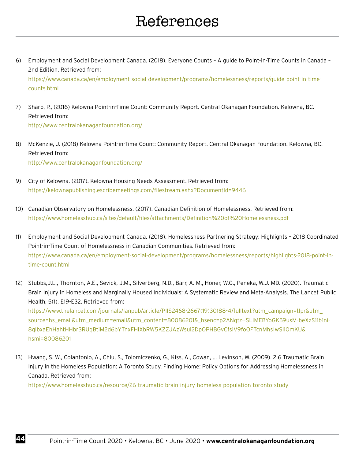### References

6) Employment and Social Development Canada. (2018). Everyone Counts – A guide to Point-in-Time Counts in Canada – 2nd Edition. Retrieved from:

https://www.canada.ca/en/employment-social-development/programs/homelessness/reports/guide-point-in-timecounts.html

- 7) Sharp, P., (2016) Kelowna Point-in-Time Count: Community Report. Central Okanagan Foundation. Kelowna, BC. Retrieved from: http://www.centralokanaganfoundation.org/
- 8) McKenzie, J. (2018) Kelowna Point-in-Time Count: Community Report. Central Okanagan Foundation. Kelowna, BC. Retrieved from: http://www.centralokanaganfoundation.org/
- 9) City of Kelowna. (2017). Kelowna Housing Needs Assessment. Retrieved from: https://kelownapublishing.escribemeetings.com/filestream.ashx?DocumentId=9446
- 10) Canadian Observatory on Homelessness. (2017). Canadian Definition of Homelessness. Retrieved from: https://www.homelesshub.ca/sites/default/files/attachments/Definition%20of%20Homelessness.pdf
- 11) Employment and Social Development Canada. (2018). Homelessness Partnering Strategy: Highlights 2018 Coordinated Point-in-Time Count of Homelessness in Canadian Communities. Retrieved from: https://www.canada.ca/en/employment-social-development/programs/homelessness/reports/highlights-2018-point-intime-count.html
- 12) Stubbs,J.L., Thornton, A.E., Sevick, J.M., Silverberg, N.D., Barr, A. M., Honer, W.G., Peneka, W.J. MD. (2020). Traumatic Brain Injury in Homeless and Marginally Housed Individuals: A Systematic Review and Meta-Analysis. The Lancet Public Health, 5(1), E19-E32. Retrieved from: https://www.thelancet.com/journals/lanpub/article/PIIS2468-2667(19)30188-4/fulltext?utm\_campaign=tlpr&utm\_ source=hs\_email&utm\_medium=email&utm\_content=80086201&\_hsenc=p2ANqtz--SLIMEBYoGK59usM-beXzS11b1ni-8qIbxaEhHahtHHbr3RUqBtiM2d6bYTnxFHiXbRW5KZZJAzWsui2DpOPHBGvCfsiV9foOFTcnMhs1wSIiOmKU&\_

hsmi=80086201

13) Hwang, S. W., Colantonio, A., Chiu, S., Tolomiczenko, G., Kiss, A., Cowan, … Levinson, W. (2009). 2.6 Traumatic Brain Injury in the Homeless Population: A Toronto Study. Finding Home: Policy Options for Addressing Homelessness in Canada. Retrieved from:

https://www.homelesshub.ca/resource/26-traumatic-brain-injury-homeless-population-toronto-study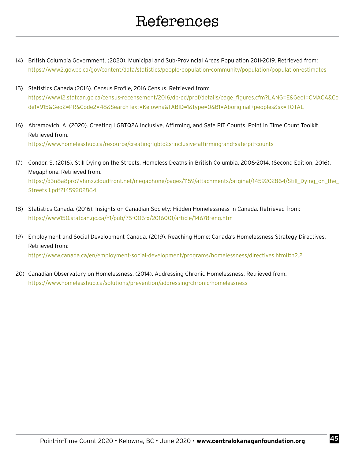- 14) British Columbia Government. (2020). Municipal and Sub-Provincial Areas Population 2011-2019. Retrieved from: https://www2.gov.bc.ca/gov/content/data/statistics/people-population-community/population/population-estimates
- 15) Statistics Canada (2016). Census Profile, 2016 Census. Retrieved from: https://www12.statcan.gc.ca/census-recensement/2016/dp-pd/prof/details/page\_figures.cfm?LANG=E&Geo1=CMACA&Co de1=915&Geo2=PR&Code2=48&SearchText=Kelowna&TABID=1&type=0&B1=Aboriginal+peoples&sx=TOTAL
- 16) Abramovich, A. (2020). Creating LGBTQ2A Inclusive, Affirming, and Safe PiT Counts. Point in Time Count Toolkit. Retrieved from: https://www.homelesshub.ca/resource/creating-lgbtq2s-inclusive-affirming-and-safe-pit-counts
- 17) Condor, S. (2016). Still Dying on the Streets. Homeless Deaths in British Columbia, 2006-2014. (Second Edition, 2016). Megaphone. Retrieved from: https://d3n8a8pro7vhmx.cloudfront.net/megaphone/pages/1159/attachments/original/1459202864/Still\_Dying\_on\_the\_ Streets-1.pdf?1459202864
- 18) Statistics Canada. (2016). Insights on Canadian Society: Hidden Homelessness in Canada. Retrieved from: https://www150.statcan.gc.ca/n1/pub/75-006-x/2016001/article/14678-eng.htm
- 19) Employment and Social Development Canada. (2019). Reaching Home: Canada's Homelessness Strategy Directives. Retrieved from: https://www.canada.ca/en/employment-social-development/programs/homelessness/directives.html#h2.2
- 20) Canadian Observatory on Homelessness. (2014). Addressing Chronic Homelessness. Retrieved from: https://www.homelesshub.ca/solutions/prevention/addressing-chronic-homelessness